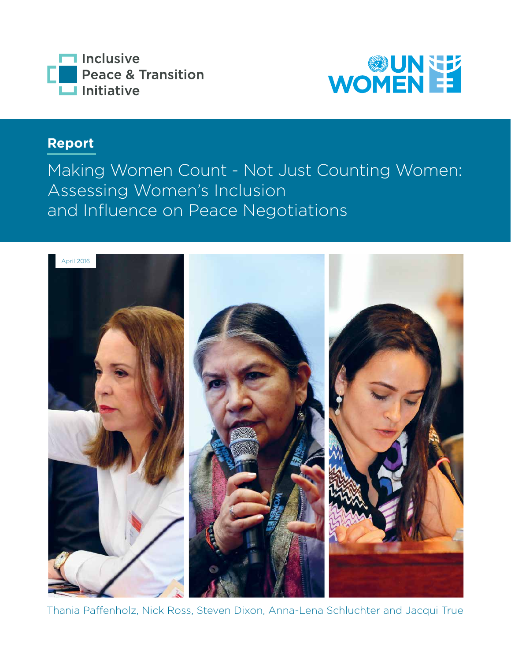



### **Report**

Making Women Count - Not Just Counting Women: Assessing Women's Inclusion and Influence on Peace Negotiations



Thania Paffenholz, Nick Ross, Steven Dixon, Anna-Lena Schluchter and Jacqui True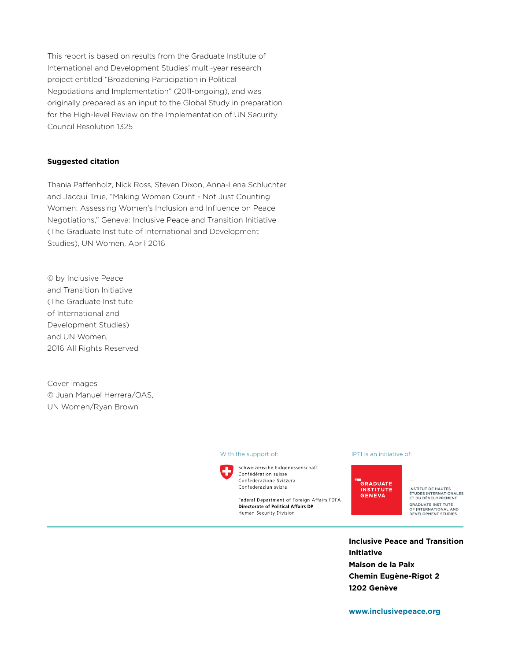This report is based on results from the Graduate Institute of International and Development Studies' multi-year research project entitled "Broadening Participation in Political Negotiations and Implementation" (2011-ongoing), and was originally prepared as an input to the Global Study in preparation for the High-level Review on the Implementation of UN Security Council Resolution 1325

#### **Suggested citation**

Thania Paffenholz, Nick Ross, Steven Dixon, Anna-Lena Schluchter and Jacqui True, "Making Women Count - Not Just Counting Women: Assessing Women's Inclusion and Influence on Peace Negotiations," Geneva: Inclusive Peace and Transition Initiative (The Graduate Institute of International and Development Studies), UN Women, April 2016

© by Inclusive Peace and Transition Initiative (The Graduate Institute of International and Development Studies) and UN Women, 2016 All Rights Reserved

Cover images © Juan Manuel Herrera/OAS, UN Women/Ryan Brown

#### With the support of: **IPTI** is an initiative of:



Schweizerische Eidgenossenschaft Confédération suisse Confederazione Svizzera Confederaziun svizra

Federal Department of Foreign Affairs FDFA **Directorate of Political Affairs DP** Human Security Division



INSTITUT DE HAUTES<br>ÉTUDES INTERNATIONALES<br>ET DU DÉVELOPPEMENT GRADUATE INSTITUTE<br>OF INTERNATIONAL AND<br>DEVELOPMENT STUDIES

**Inclusive Peace and Transition Initiative Maison de la Paix Chemin Eugène-Rigot 2 1202 Genève** 

#### **www.inclusivepeace.org**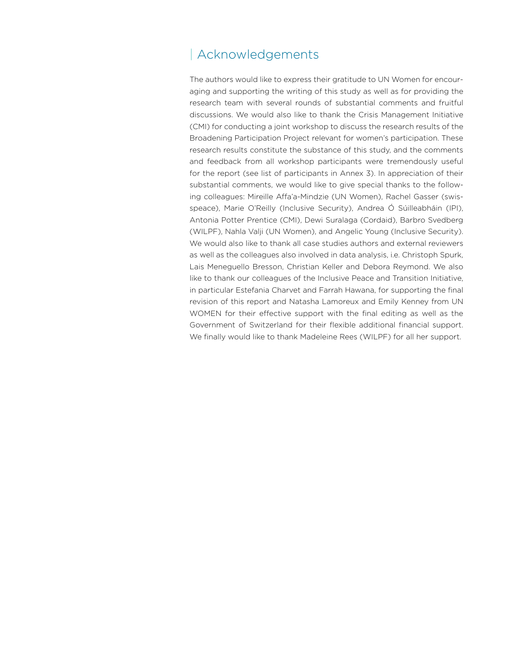### | Acknowledgements

The authors would like to express their gratitude to UN Women for encouraging and supporting the writing of this study as well as for providing the research team with several rounds of substantial comments and fruitful discussions. We would also like to thank the Crisis Management Initiative (CMI) for conducting a joint workshop to discuss the research results of the Broadening Participation Project relevant for women's participation. These research results constitute the substance of this study, and the comments and feedback from all workshop participants were tremendously useful for the report (see list of participants in Annex 3). In appreciation of their substantial comments, we would like to give special thanks to the following colleagues: Mireille Affa'a-Mindzie (UN Women), Rachel Gasser (swisspeace), Marie O'Reilly (Inclusive Security), Andrea Ó Súilleabháin (IPI), Antonia Potter Prentice (CMI), Dewi Suralaga (Cordaid), Barbro Svedberg (WILPF), Nahla Valji (UN Women), and Angelic Young (Inclusive Security). We would also like to thank all case studies authors and external reviewers as well as the colleagues also involved in data analysis, i.e. Christoph Spurk, Lais Meneguello Bresson, Christian Keller and Debora Reymond. We also like to thank our colleagues of the Inclusive Peace and Transition Initiative, in particular Estefania Charvet and Farrah Hawana, for supporting the final revision of this report and Natasha Lamoreux and Emily Kenney from UN WOMEN for their effective support with the final editing as well as the Government of Switzerland for their flexible additional financial support. We finally would like to thank Madeleine Rees (WILPF) for all her support.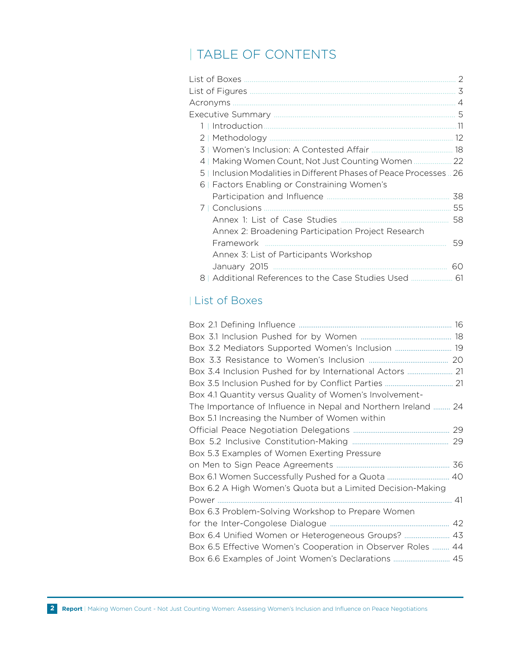# | TABLE OF CONTENTS

|                                                                      | 2               |
|----------------------------------------------------------------------|-----------------|
|                                                                      | 3               |
| Acronyms .                                                           | $\overline{4}$  |
|                                                                      | 5               |
|                                                                      | $\overline{11}$ |
| 2   Methodology                                                      | 12              |
|                                                                      | 18              |
| 4   Making Women Count, Not Just Counting Women                      | 22              |
| 5   Inclusion Modalities in Different Phases of Peace Processes , 26 |                 |
| Factors Enabling or Constraining Women's<br>6                        |                 |
|                                                                      | 38              |
| 7   Conclusions                                                      | 55              |
|                                                                      | 58              |
| Annex 2: Broadening Participation Project Research                   |                 |
| Framework                                                            | 59              |
| Annex 3: List of Participants Workshop                               |                 |
| January 2015                                                         | 60              |
| LAdditional References to the Case Studies Used<br>8                 | 61              |
|                                                                      |                 |

### | List of Boxes

| Box 3.2 Mediators Supported Women's Inclusion  19             |
|---------------------------------------------------------------|
|                                                               |
| Box 3.4 Inclusion Pushed for by International Actors  21      |
|                                                               |
|                                                               |
| The Importance of Influence in Nepal and Northern Ireland  24 |
|                                                               |
|                                                               |
|                                                               |
|                                                               |
|                                                               |
| Box 6.1 Women Successfully Pushed for a Quota  40             |
|                                                               |
|                                                               |
|                                                               |
|                                                               |
| Box 6.4 Unified Women or Heterogeneous Groups?  43            |
| Box 6.5 Effective Women's Cooperation in Observer Roles  44   |
| Box 6.6 Examples of Joint Women's Declarations  45            |
|                                                               |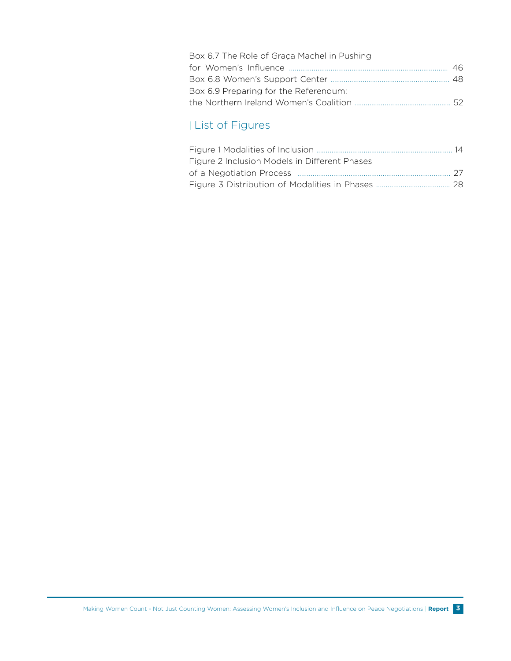| Box 6.7 The Role of Graça Machel in Pushing |  |
|---------------------------------------------|--|
|                                             |  |
|                                             |  |
| Box 6.9 Preparing for the Referendum:       |  |
|                                             |  |

# | List of Figures

| Figure 2 Inclusion Models in Different Phases |  |
|-----------------------------------------------|--|
|                                               |  |
|                                               |  |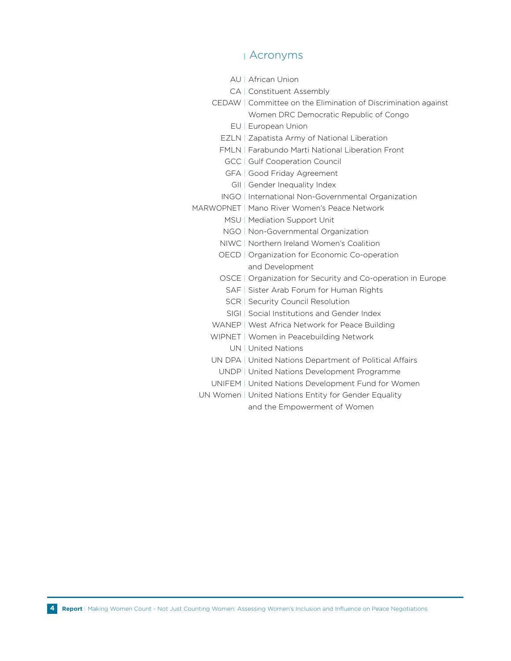### **<sup>|</sup>** Acronyms

| AU   African Union                                             |  |  |
|----------------------------------------------------------------|--|--|
| CA   Constituent Assembly                                      |  |  |
| CEDAW   Committee on the Elimination of Discrimination against |  |  |
| Women DRC Democratic Republic of Congo                         |  |  |
| EU   European Union                                            |  |  |
| EZLN   Zapatista Army of National Liberation                   |  |  |
| <b>FMLN</b>   Farabundo Marti National Liberation Front        |  |  |
| <b>GCC</b>   Gulf Cooperation Council                          |  |  |
| GFA   Good Friday Agreement                                    |  |  |
| GII Gender Inequality Index                                    |  |  |
| INGO   International Non-Governmental Organization             |  |  |
| MARWOPNET   Mano River Women's Peace Network                   |  |  |
| MSU   Mediation Support Unit                                   |  |  |
| NGO   Non-Governmental Organization                            |  |  |
| NIWC   Northern Ireland Women's Coalition                      |  |  |
| OECD   Organization for Economic Co-operation                  |  |  |
| and Development                                                |  |  |
| OSCE   Organization for Security and Co-operation in Europe    |  |  |
| SAF   Sister Arab Forum for Human Rights                       |  |  |
| SCR Security Council Resolution                                |  |  |
| SIGL Social Institutions and Gender Index                      |  |  |
| WANEP   West Africa Network for Peace Building                 |  |  |
| WIPNET   Women in Peacebuilding Network                        |  |  |
| UN   United Nations                                            |  |  |
| UN DPA   United Nations Department of Political Affairs        |  |  |
| UNDP   United Nations Development Programme                    |  |  |
| UNIFEM   United Nations Development Fund for Women             |  |  |
| UN Women   United Nations Entity for Gender Equality           |  |  |
| and the Empowerment of Women                                   |  |  |
|                                                                |  |  |

**4 Report** | Making Women Count - Not Just Counting Women: Assessing Women's Inclusion and Influence on Peace Negotiations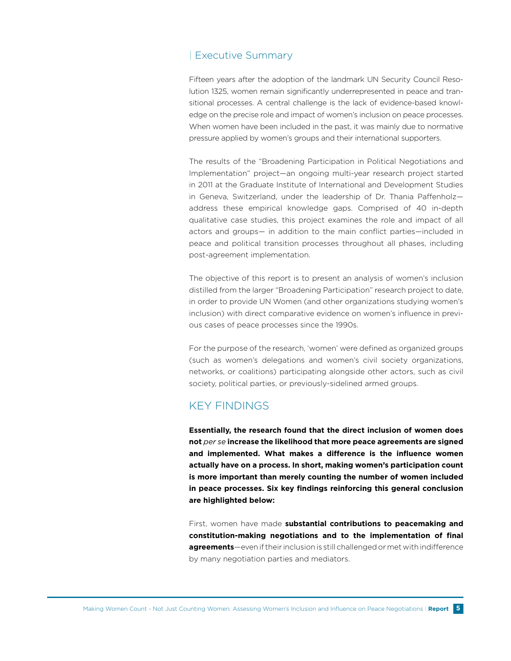#### | Executive Summary

Fifteen years after the adoption of the landmark UN Security Council Resolution 1325, women remain significantly underrepresented in peace and transitional processes. A central challenge is the lack of evidence-based knowledge on the precise role and impact of women's inclusion on peace processes. When women have been included in the past, it was mainly due to normative pressure applied by women's groups and their international supporters.

The results of the "Broadening Participation in Political Negotiations and Implementation" project—an ongoing multi-year research project started in 2011 at the Graduate Institute of International and Development Studies in Geneva, Switzerland, under the leadership of Dr. Thania Paffenholz address these empirical knowledge gaps. Comprised of 40 in-depth qualitative case studies, this project examines the role and impact of all actors and groups— in addition to the main conflict parties—included in peace and political transition processes throughout all phases, including post-agreement implementation.

The objective of this report is to present an analysis of women's inclusion distilled from the larger "Broadening Participation" research project to date, in order to provide UN Women (and other organizations studying women's inclusion) with direct comparative evidence on women's influence in previous cases of peace processes since the 1990s.

For the purpose of the research, 'women' were defined as organized groups (such as women's delegations and women's civil society organizations, networks, or coalitions) participating alongside other actors, such as civil society, political parties, or previously-sidelined armed groups.

#### KEY FINDINGS

**Essentially, the research found that the direct inclusion of women does not** *per se* **increase the likelihood that more peace agreements are signed and implemented. What makes a difference is the influence women actually have on a process. In short, making women's participation count is more important than merely counting the number of women included in peace processes. Six key findings reinforcing this general conclusion are highlighted below:**

First, women have made **substantial contributions to peacemaking and constitution-making negotiations and to the implementation of final agreements**—even if their inclusion is still challenged or met with indifference by many negotiation parties and mediators.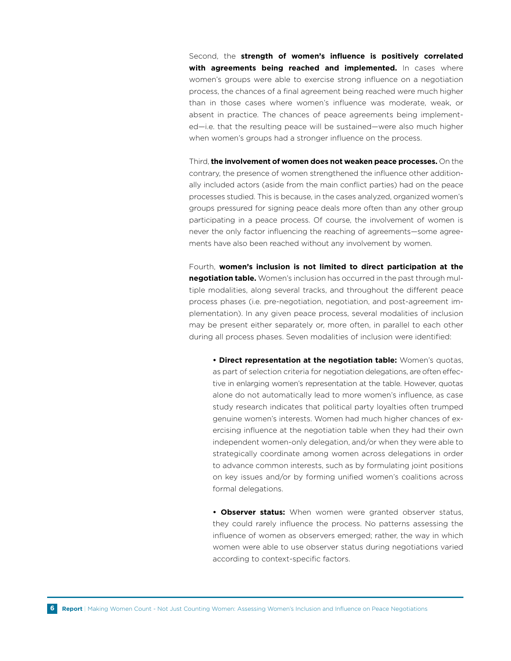Second, the **strength of women's influence is positively correlated with agreements being reached and implemented.** In cases where women's groups were able to exercise strong influence on a negotiation process, the chances of a final agreement being reached were much higher than in those cases where women's influence was moderate, weak, or absent in practice. The chances of peace agreements being implemented—i.e. that the resulting peace will be sustained—were also much higher when women's groups had a stronger influence on the process.

Third, **the involvement of women does not weaken peace processes.** On the contrary, the presence of women strengthened the influence other additionally included actors (aside from the main conflict parties) had on the peace processes studied. This is because, in the cases analyzed, organized women's groups pressured for signing peace deals more often than any other group participating in a peace process. Of course, the involvement of women is never the only factor influencing the reaching of agreements—some agreements have also been reached without any involvement by women.

Fourth, **women's inclusion is not limited to direct participation at the negotiation table.** Women's inclusion has occurred in the past through multiple modalities, along several tracks, and throughout the different peace process phases (i.e. pre-negotiation, negotiation, and post-agreement implementation). In any given peace process, several modalities of inclusion may be present either separately or, more often, in parallel to each other during all process phases. Seven modalities of inclusion were identified:

**• Direct representation at the negotiation table:** Women's quotas, as part of selection criteria for negotiation delegations, are often effective in enlarging women's representation at the table. However, quotas alone do not automatically lead to more women's influence, as case study research indicates that political party loyalties often trumped genuine women's interests. Women had much higher chances of exercising influence at the negotiation table when they had their own independent women-only delegation, and/or when they were able to strategically coordinate among women across delegations in order to advance common interests, such as by formulating joint positions on key issues and/or by forming unified women's coalitions across formal delegations.

**• Observer status:** When women were granted observer status, they could rarely influence the process. No patterns assessing the influence of women as observers emerged; rather, the way in which women were able to use observer status during negotiations varied according to context-specific factors.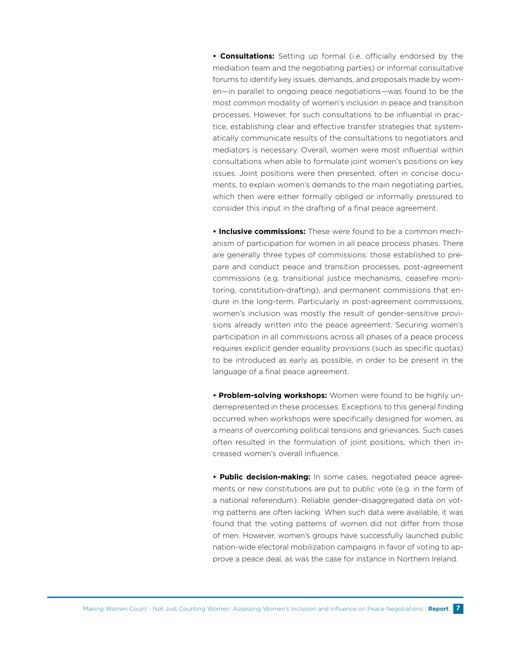**• Consultations:** Setting up formal (i.e. officially endorsed by the mediation team and the negotiating parties) or informal consultative forums to identify key issues, demands, and proposals made by women—in parallel to ongoing peace negotiations—was found to be the most common modality of women's inclusion in peace and transition processes. However, for such consultations to be influential in practice, establishing clear and effective transfer strategies that systematically communicate results of the consultations to negotiators and mediators is necessary. Overall, women were most influential within consultations when able to formulate joint women's positions on key issues. Joint positions were then presented, often in concise documents, to explain women's demands to the main negotiating parties, which then were either formally obliged or informally pressured to consider this input in the drafting of a final peace agreement.

**• Inclusive commissions:** These were found to be a common mechanism of participation for women in all peace process phases. There are generally three types of commissions: those established to prepare and conduct peace and transition processes, post-agreement commissions (e.g. transitional justice mechanisms, ceasefire monitoring, constitution-drafting), and permanent commissions that endure in the long-term. Particularly in post-agreement commissions, women's inclusion was mostly the result of gender-sensitive provisions already written into the peace agreement. Securing women's participation in all commissions across all phases of a peace process requires explicit gender equality provisions (such as specific quotas) to be introduced as early as possible, in order to be present in the language of a final peace agreement.

**• Problem-solving workshops:** Women were found to be highly underrepresented in these processes. Exceptions to this general finding occurred when workshops were specifically designed for women, as a means of overcoming political tensions and grievances. Such cases often resulted in the formulation of joint positions, which then increased women's overall influence.

**• Public decision-making:** In some cases, negotiated peace agreements or new constitutions are put to public vote (e.g. in the form of a national referendum). Reliable gender-disaggregated data on voting patterns are often lacking. When such data were available, it was found that the voting patterns of women did not differ from those of men. However, women's groups have successfully launched public nation-wide electoral mobilization campaigns in favor of voting to approve a peace deal, as was the case for instance in Northern Ireland.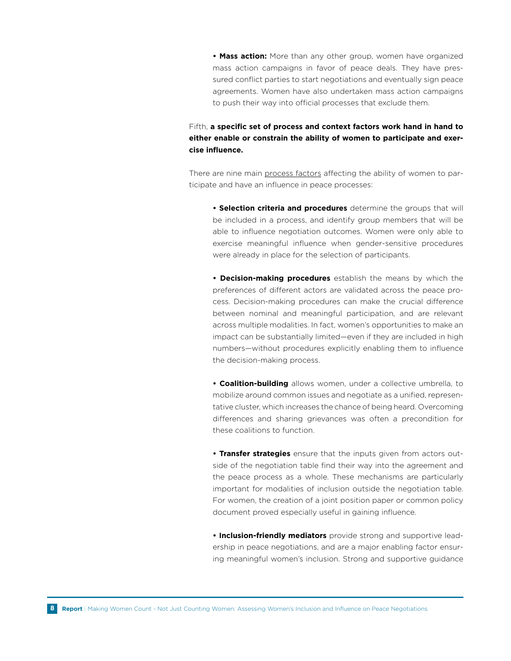**• Mass action:** More than any other group, women have organized mass action campaigns in favor of peace deals. They have pressured conflict parties to start negotiations and eventually sign peace agreements. Women have also undertaken mass action campaigns to push their way into official processes that exclude them.

#### Fifth, **a specific set of process and context factors work hand in hand to either enable or constrain the ability of women to participate and exercise influence.**

There are nine main process factors affecting the ability of women to participate and have an influence in peace processes:

**• Selection criteria and procedures** determine the groups that will be included in a process, and identify group members that will be able to influence negotiation outcomes. Women were only able to exercise meaningful influence when gender-sensitive procedures were already in place for the selection of participants.

**• Decision-making procedures** establish the means by which the preferences of different actors are validated across the peace process. Decision-making procedures can make the crucial difference between nominal and meaningful participation, and are relevant across multiple modalities. In fact, women's opportunities to make an impact can be substantially limited—even if they are included in high numbers—without procedures explicitly enabling them to influence the decision-making process.

**• Coalition-building** allows women, under a collective umbrella, to mobilize around common issues and negotiate as a unified, representative cluster, which increases the chance of being heard. Overcoming differences and sharing grievances was often a precondition for these coalitions to function.

**• Transfer strategies** ensure that the inputs given from actors outside of the negotiation table find their way into the agreement and the peace process as a whole. These mechanisms are particularly important for modalities of inclusion outside the negotiation table. For women, the creation of a joint position paper or common policy document proved especially useful in gaining influence.

**• Inclusion-friendly mediators** provide strong and supportive leadership in peace negotiations, and are a major enabling factor ensuring meaningful women's inclusion. Strong and supportive guidance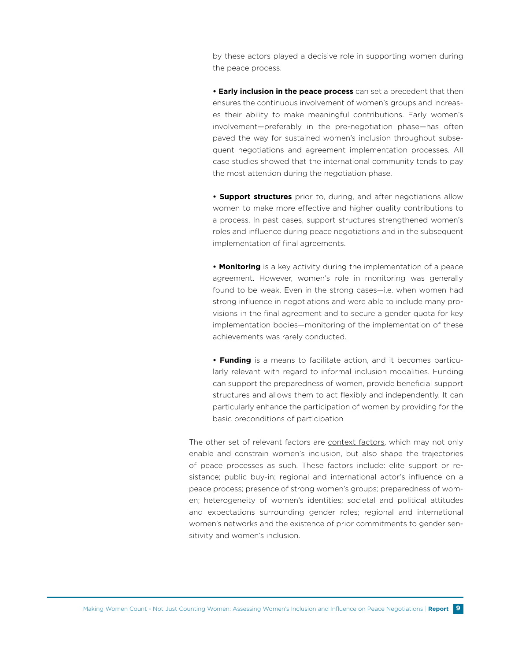by these actors played a decisive role in supporting women during the peace process.

**• Early inclusion in the peace process** can set a precedent that then ensures the continuous involvement of women's groups and increases their ability to make meaningful contributions. Early women's involvement—preferably in the pre-negotiation phase—has often paved the way for sustained women's inclusion throughout subsequent negotiations and agreement implementation processes. All case studies showed that the international community tends to pay the most attention during the negotiation phase.

**• Support structures** prior to, during, and after negotiations allow women to make more effective and higher quality contributions to a process. In past cases, support structures strengthened women's roles and influence during peace negotiations and in the subsequent implementation of final agreements.

**• Monitoring** is a key activity during the implementation of a peace agreement. However, women's role in monitoring was generally found to be weak. Even in the strong cases—i.e. when women had strong influence in negotiations and were able to include many provisions in the final agreement and to secure a gender quota for key implementation bodies—monitoring of the implementation of these achievements was rarely conducted.

**• Funding** is a means to facilitate action, and it becomes particularly relevant with regard to informal inclusion modalities. Funding can support the preparedness of women, provide beneficial support structures and allows them to act flexibly and independently. It can particularly enhance the participation of women by providing for the basic preconditions of participation

The other set of relevant factors are context factors, which may not only enable and constrain women's inclusion, but also shape the trajectories of peace processes as such. These factors include: elite support or resistance; public buy-in; regional and international actor's influence on a peace process; presence of strong women's groups; preparedness of women; heterogeneity of women's identities; societal and political attitudes and expectations surrounding gender roles; regional and international women's networks and the existence of prior commitments to gender sensitivity and women's inclusion.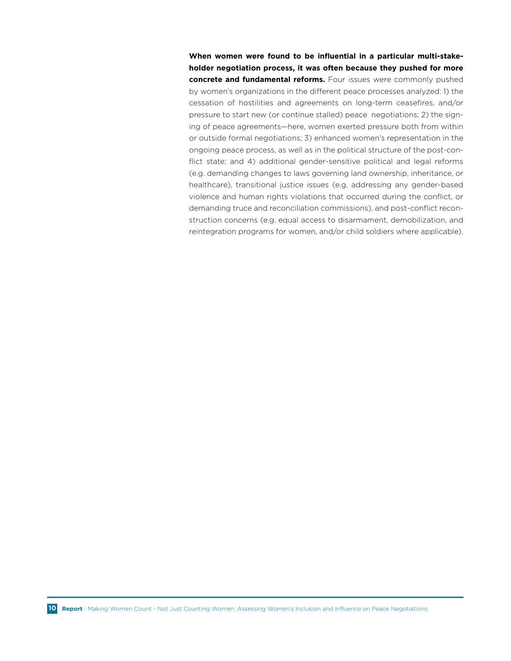**When women were found to be influential in a particular multi-stakeholder negotiation process, it was often because they pushed for more concrete and fundamental reforms.** Four issues were commonly pushed by women's organizations in the different peace processes analyzed: 1) the cessation of hostilities and agreements on long-term ceasefires, and/or pressure to start new (or continue stalled) peace negotiations; 2) the signing of peace agreements—here, women exerted pressure both from within or outside formal negotiations; 3) enhanced women's representation in the ongoing peace process, as well as in the political structure of the post-conflict state; and 4) additional gender-sensitive political and legal reforms (e.g. demanding changes to laws governing land ownership, inheritance, or healthcare), transitional justice issues (e.g. addressing any gender-based violence and human rights violations that occurred during the conflict, or demanding truce and reconciliation commissions), and post-conflict reconstruction concerns (e.g. equal access to disarmament, demobilization, and reintegration programs for women, and/or child soldiers where applicable).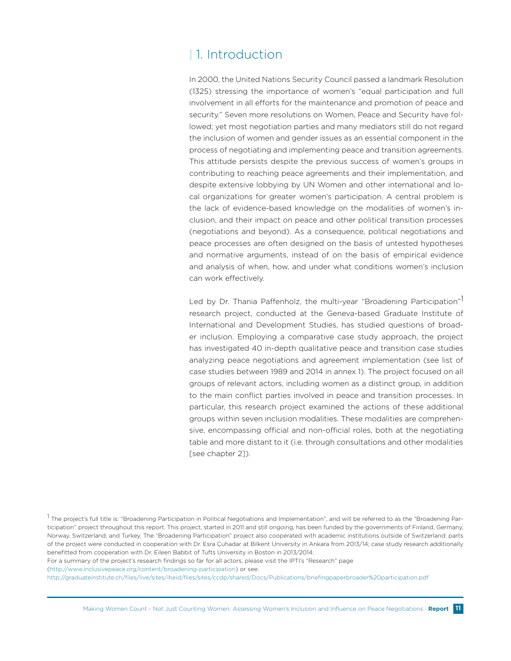# | 1. Introduction

In 2000, the United Nations Security Council passed a landmark Resolution (1325) stressing the importance of women's "equal participation and full involvement in all efforts for the maintenance and promotion of peace and security." Seven more resolutions on Women, Peace and Security have followed; yet most negotiation parties and many mediators still do not regard the inclusion of women and gender issues as an essential component in the process of negotiating and implementing peace and transition agreements. This attitude persists despite the previous success of women's groups in contributing to reaching peace agreements and their implementation, and despite extensive lobbying by UN Women and other international and local organizations for greater women's participation. A central problem is the lack of evidence-based knowledge on the modalities of women's inclusion, and their impact on peace and other political transition processes (negotiations and beyond). As a consequence, political negotiations and peace processes are often designed on the basis of untested hypotheses and normative arguments, instead of on the basis of empirical evidence and analysis of when, how, and under what conditions women's inclusion can work effectively.

Led by Dr. Thania Paffenholz, the multi-year "Broadening Participation" research project, conducted at the Geneva-based Graduate Institute of International and Development Studies, has studied questions of broader inclusion. Employing a comparative case study approach, the project has investigated 40 in-depth qualitative peace and transition case studies analyzing peace negotiations and agreement implementation (see list of case studies between 1989 and 2014 in annex 1). The project focused on all groups of relevant actors, including women as a distinct group, in addition to the main conflict parties involved in peace and transition processes. In particular, this research project examined the actions of these additional groups within seven inclusion modalities. These modalities are comprehensive, encompassing official and non-official roles, both at the negotiating table and more distant to it (i.e. through consultations and other modalities [see chapter 2]).

For a summary of the project's research findings so far for all actors, please visit the IPTI's "Research" page (http://www.inclusivepeace.org/content/broadening-participation) or see:

http://graduateinstitute.ch/files/live/sites/iheid/files/sites/ccdp/shared/Docs/Publications/briefingpaperbroader%20participation.pdf

 $^{\text{1}}$  The project's full title is: "Broadening Participation in Political Negotiations and Implementation", and will be referred to as the "Broadening Participation" project throughout this report. This project, started in 2011 and still ongoing, has been funded by the governments of Finland, Germany, Norway, Switzerland, and Turkey. The "Broadening Participation" project also cooperated with academic institutions outside of Switzerland: parts of the project were conducted in cooperation with Dr. Esra Çuhadar at Bilkent University in Ankara from 2013/14; case study research additionally benefitted from cooperation with Dr. Eileen Babbit of Tufts University in Boston in 2013/2014.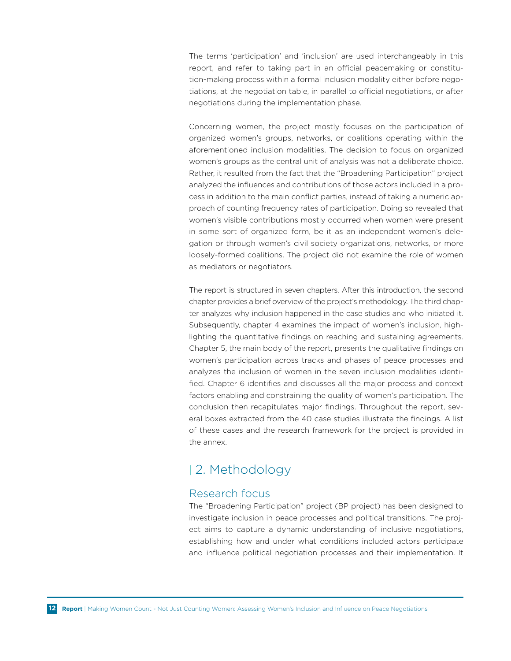The terms 'participation' and 'inclusion' are used interchangeably in this report, and refer to taking part in an official peacemaking or constitution-making process within a formal inclusion modality either before negotiations, at the negotiation table, in parallel to official negotiations, or after negotiations during the implementation phase.

Concerning women, the project mostly focuses on the participation of organized women's groups, networks, or coalitions operating within the aforementioned inclusion modalities. The decision to focus on organized women's groups as the central unit of analysis was not a deliberate choice. Rather, it resulted from the fact that the "Broadening Participation" project analyzed the influences and contributions of those actors included in a process in addition to the main conflict parties, instead of taking a numeric approach of counting frequency rates of participation. Doing so revealed that women's visible contributions mostly occurred when women were present in some sort of organized form, be it as an independent women's delegation or through women's civil society organizations, networks, or more loosely-formed coalitions. The project did not examine the role of women as mediators or negotiators.

The report is structured in seven chapters. After this introduction, the second chapter provides a brief overview of the project's methodology. The third chapter analyzes why inclusion happened in the case studies and who initiated it. Subsequently, chapter 4 examines the impact of women's inclusion, highlighting the quantitative findings on reaching and sustaining agreements. Chapter 5, the main body of the report, presents the qualitative findings on women's participation across tracks and phases of peace processes and analyzes the inclusion of women in the seven inclusion modalities identified. Chapter 6 identifies and discusses all the major process and context factors enabling and constraining the quality of women's participation. The conclusion then recapitulates major findings. Throughout the report, several boxes extracted from the 40 case studies illustrate the findings. A list of these cases and the research framework for the project is provided in the annex.

### | 2. Methodology

#### Research focus

The "Broadening Participation" project (BP project) has been designed to investigate inclusion in peace processes and political transitions. The project aims to capture a dynamic understanding of inclusive negotiations, establishing how and under what conditions included actors participate and influence political negotiation processes and their implementation. It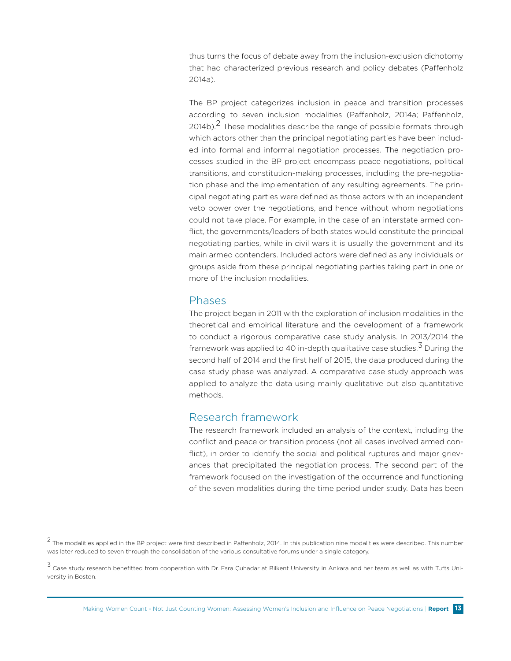thus turns the focus of debate away from the inclusion-exclusion dichotomy that had characterized previous research and policy debates (Paffenholz 2014a).

The BP project categorizes inclusion in peace and transition processes according to seven inclusion modalities (Paffenholz, 2014a; Paffenholz,  $2014b$ ).<sup>2</sup> These modalities describe the range of possible formats through which actors other than the principal negotiating parties have been included into formal and informal negotiation processes. The negotiation processes studied in the BP project encompass peace negotiations, political transitions, and constitution-making processes, including the pre-negotiation phase and the implementation of any resulting agreements. The principal negotiating parties were defined as those actors with an independent veto power over the negotiations, and hence without whom negotiations could not take place. For example, in the case of an interstate armed conflict, the governments/leaders of both states would constitute the principal negotiating parties, while in civil wars it is usually the government and its main armed contenders. Included actors were defined as any individuals or groups aside from these principal negotiating parties taking part in one or more of the inclusion modalities.

#### Phases

The project began in 2011 with the exploration of inclusion modalities in the theoretical and empirical literature and the development of a framework to conduct a rigorous comparative case study analysis. In 2013/2014 the framework was applied to 40 in-depth qualitative case studies.<sup>3</sup> During the second half of 2014 and the first half of 2015, the data produced during the case study phase was analyzed. A comparative case study approach was applied to analyze the data using mainly qualitative but also quantitative methods.

#### Research framework

The research framework included an analysis of the context, including the conflict and peace or transition process (not all cases involved armed conflict), in order to identify the social and political ruptures and major grievances that precipitated the negotiation process. The second part of the framework focused on the investigation of the occurrence and functioning of the seven modalities during the time period under study. Data has been

 $2$  The modalities applied in the BP project were first described in Paffenholz, 2014. In this publication nine modalities were described. This number was later reduced to seven through the consolidation of the various consultative forums under a single category.

<sup>3</sup> Case study research benefitted from cooperation with Dr. Esra Çuhadar at Bilkent University in Ankara and her team as well as with Tufts University in Boston.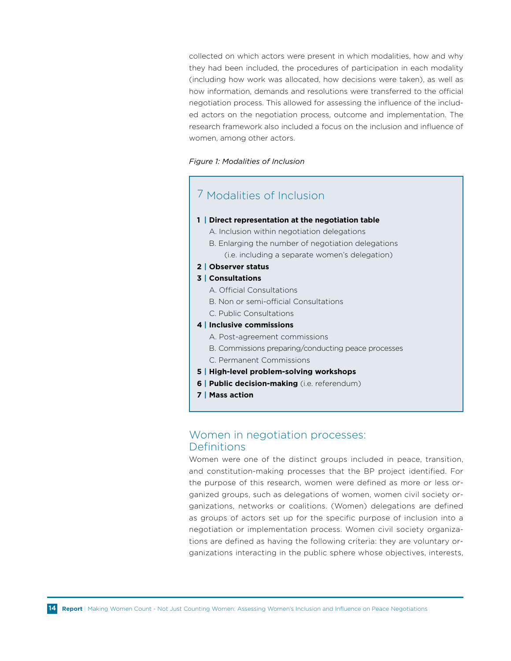collected on which actors were present in which modalities, how and why they had been included, the procedures of participation in each modality (including how work was allocated, how decisions were taken), as well as how information, demands and resolutions were transferred to the official negotiation process. This allowed for assessing the influence of the included actors on the negotiation process, outcome and implementation. The research framework also included a focus on the inclusion and influence of women, among other actors.

#### *Figure 1: Modalities of Inclusion*

### 7 Modalities of Inclusion

#### **1 | Direct representation at the negotiation table**

- A. Inclusion within negotiation delegations
- B. Enlarging the number of negotiation delegations (i.e. including a separate women's delegation)

#### **2 | Observer status**

#### **3 | Consultations**

- A. Official Consultations
- B. Non or semi-official Consultations
- C. Public Consultations

#### **4 | Inclusive commissions**

- A. Post-agreement commissions
- B. Commissions preparing/conducting peace processes
- C. Permanent Commissions
- **5 | High-level problem-solving workshops**
- **6 | Public decision-making** (i.e. referendum)
- **7 | Mass action**

#### Women in negotiation processes: **Definitions**

Women were one of the distinct groups included in peace, transition, and constitution-making processes that the BP project identified. For the purpose of this research, women were defined as more or less organized groups, such as delegations of women, women civil society organizations, networks or coalitions. (Women) delegations are defined as groups of actors set up for the specific purpose of inclusion into a negotiation or implementation process. Women civil society organizations are defined as having the following criteria: they are voluntary organizations interacting in the public sphere whose objectives, interests,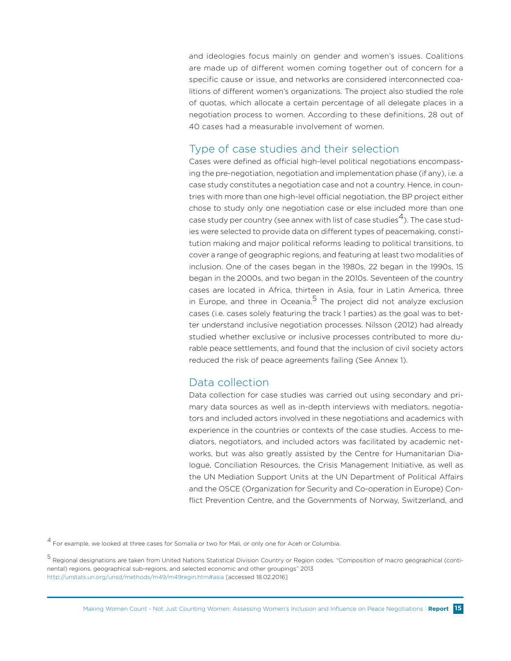and ideologies focus mainly on gender and women's issues. Coalitions are made up of different women coming together out of concern for a specific cause or issue, and networks are considered interconnected coalitions of different women's organizations. The project also studied the role of quotas, which allocate a certain percentage of all delegate places in a negotiation process to women. According to these definitions, 28 out of 40 cases had a measurable involvement of women.

#### Type of case studies and their selection

Cases were defined as official high-level political negotiations encompassing the pre-negotiation, negotiation and implementation phase (if any), i.e. a case study constitutes a negotiation case and not a country. Hence, in countries with more than one high-level official negotiation, the BP project either chose to study only one negotiation case or else included more than one case study per country (see annex with list of case studies<sup>4</sup>). The case studies were selected to provide data on different types of peacemaking, constitution making and major political reforms leading to political transitions, to cover a range of geographic regions, and featuring at least two modalities of inclusion. One of the cases began in the 1980s, 22 began in the 1990s, 15 began in the 2000s, and two began in the 2010s. Seventeen of the country cases are located in Africa, thirteen in Asia, four in Latin America, three in Europe, and three in Oceania.<sup>5</sup> The project did not analyze exclusion cases (i.e. cases solely featuring the track 1 parties) as the goal was to better understand inclusive negotiation processes. Nilsson (2012) had already studied whether exclusive or inclusive processes contributed to more durable peace settlements, and found that the inclusion of civil society actors reduced the risk of peace agreements failing (See Annex 1).

#### Data collection

Data collection for case studies was carried out using secondary and primary data sources as well as in-depth interviews with mediators, negotiators and included actors involved in these negotiations and academics with experience in the countries or contexts of the case studies. Access to mediators, negotiators, and included actors was facilitated by academic networks, but was also greatly assisted by the Centre for Humanitarian Dialogue, Conciliation Resources, the Crisis Management Initiative, as well as the UN Mediation Support Units at the UN Department of Political Affairs and the OSCE (Organization for Security and Co-operation in Europe) Conflict Prevention Centre, and the Governments of Norway, Switzerland, and

 $^4$  For example, we looked at three cases for Somalia or two for Mali, or only one for Aceh or Columbia.

<sup>5</sup> Regional designations are taken from United Nations Statistical Division Country or Region codes. "Composition of macro geographical (continental) regions, geographical sub-regions, and selected economic and other groupings" 2013 http://unstats.un.org/unsd/methods/m49/m49regin.htm#asia [accessed 18.02.2016]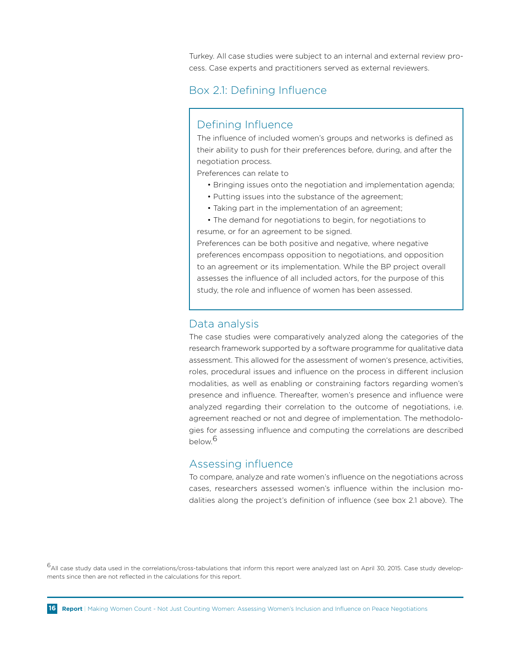Turkey. All case studies were subject to an internal and external review process. Case experts and practitioners served as external reviewers.

#### Box 2.1: Defining Influence

#### Defining Influence

The influence of included women's groups and networks is defined as their ability to push for their preferences before, during, and after the negotiation process.

Preferences can relate to

- Bringing issues onto the negotiation and implementation agenda;
- Putting issues into the substance of the agreement;
- Taking part in the implementation of an agreement;
- The demand for negotiations to begin, for negotiations to resume, or for an agreement to be signed.

Preferences can be both positive and negative, where negative preferences encompass opposition to negotiations, and opposition to an agreement or its implementation. While the BP project overall assesses the influence of all included actors, for the purpose of this study, the role and influence of women has been assessed.

#### Data analysis

The case studies were comparatively analyzed along the categories of the research framework supported by a software programme for qualitative data assessment. This allowed for the assessment of women's presence, activities, roles, procedural issues and influence on the process in different inclusion modalities, as well as enabling or constraining factors regarding women's presence and influence. Thereafter, women's presence and influence were analyzed regarding their correlation to the outcome of negotiations, i.e. agreement reached or not and degree of implementation. The methodologies for assessing influence and computing the correlations are described below.6

#### Assessing influence

To compare, analyze and rate women's influence on the negotiations across cases, researchers assessed women's influence within the inclusion modalities along the project's definition of influence (see box 2.1 above). The

<sup>6</sup>All case study data used in the correlations/cross-tabulations that inform this report were analyzed last on April 30, 2015. Case study developments since then are not reflected in the calculations for this report.

**16 Report** | Making Women Count - Not Just Counting Women: Assessing Women's Inclusion and Influence on Peace Negotiations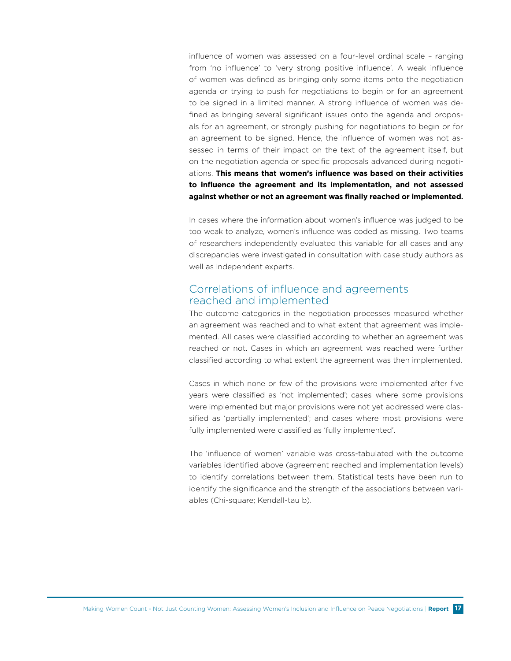influence of women was assessed on a four-level ordinal scale – ranging from 'no influence' to 'very strong positive influence'. A weak influence of women was defined as bringing only some items onto the negotiation agenda or trying to push for negotiations to begin or for an agreement to be signed in a limited manner. A strong influence of women was defined as bringing several significant issues onto the agenda and proposals for an agreement, or strongly pushing for negotiations to begin or for an agreement to be signed. Hence, the influence of women was not assessed in terms of their impact on the text of the agreement itself, but on the negotiation agenda or specific proposals advanced during negotiations. **This means that women's influence was based on their activities to influence the agreement and its implementation, and not assessed against whether or not an agreement was finally reached or implemented.**

In cases where the information about women's influence was judged to be too weak to analyze, women's influence was coded as missing. Two teams of researchers independently evaluated this variable for all cases and any discrepancies were investigated in consultation with case study authors as well as independent experts.

#### Correlations of influence and agreements reached and implemented

The outcome categories in the negotiation processes measured whether an agreement was reached and to what extent that agreement was implemented. All cases were classified according to whether an agreement was reached or not. Cases in which an agreement was reached were further classified according to what extent the agreement was then implemented.

Cases in which none or few of the provisions were implemented after five years were classified as 'not implemented'; cases where some provisions were implemented but major provisions were not yet addressed were classified as 'partially implemented'; and cases where most provisions were fully implemented were classified as 'fully implemented'.

The 'influence of women' variable was cross-tabulated with the outcome variables identified above (agreement reached and implementation levels) to identify correlations between them. Statistical tests have been run to identify the significance and the strength of the associations between variables (Chi-square; Kendall-tau b).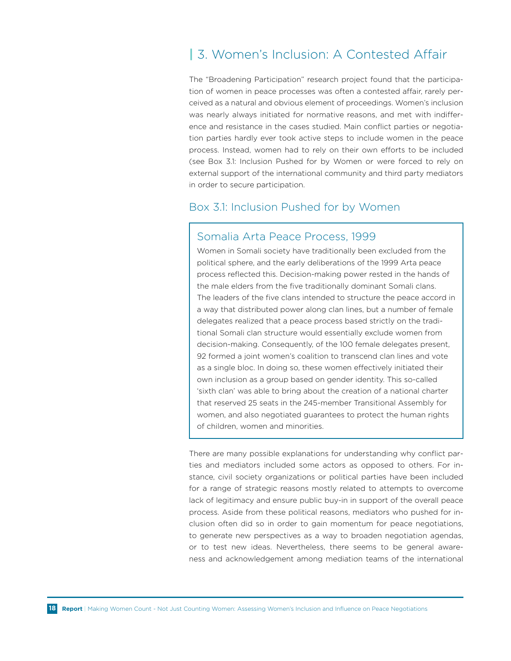# **|** 3. Women's Inclusion: A Contested Affair

The "Broadening Participation" research project found that the participation of women in peace processes was often a contested affair, rarely perceived as a natural and obvious element of proceedings. Women's inclusion was nearly always initiated for normative reasons, and met with indifference and resistance in the cases studied. Main conflict parties or negotiation parties hardly ever took active steps to include women in the peace process. Instead, women had to rely on their own efforts to be included (see Box 3.1: Inclusion Pushed for by Women or were forced to rely on external support of the international community and third party mediators in order to secure participation.

#### Box 3.1: Inclusion Pushed for by Women

#### Somalia Arta Peace Process, 1999

Women in Somali society have traditionally been excluded from the political sphere, and the early deliberations of the 1999 Arta peace process reflected this. Decision-making power rested in the hands of the male elders from the five traditionally dominant Somali clans. The leaders of the five clans intended to structure the peace accord in a way that distributed power along clan lines, but a number of female delegates realized that a peace process based strictly on the traditional Somali clan structure would essentially exclude women from decision-making. Consequently, of the 100 female delegates present, 92 formed a joint women's coalition to transcend clan lines and vote as a single bloc. In doing so, these women effectively initiated their own inclusion as a group based on gender identity. This so-called 'sixth clan' was able to bring about the creation of a national charter that reserved 25 seats in the 245-member Transitional Assembly for women, and also negotiated guarantees to protect the human rights of children, women and minorities.

There are many possible explanations for understanding why conflict parties and mediators included some actors as opposed to others. For instance, civil society organizations or political parties have been included for a range of strategic reasons mostly related to attempts to overcome lack of legitimacy and ensure public buy-in in support of the overall peace process. Aside from these political reasons, mediators who pushed for inclusion often did so in order to gain momentum for peace negotiations, to generate new perspectives as a way to broaden negotiation agendas, or to test new ideas. Nevertheless, there seems to be general awareness and acknowledgement among mediation teams of the international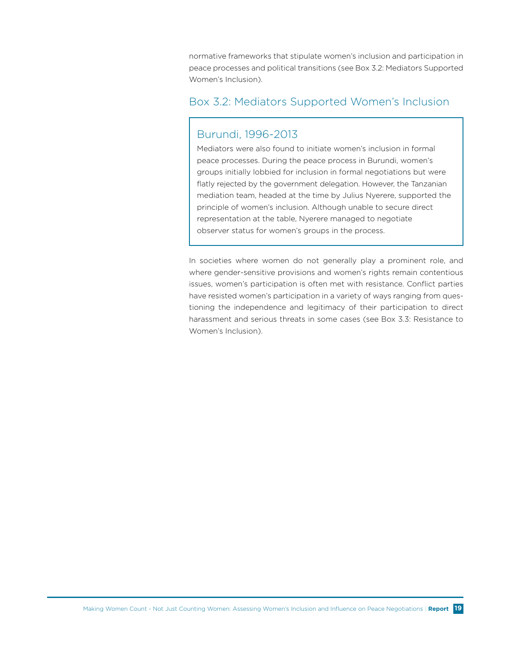normative frameworks that stipulate women's inclusion and participation in peace processes and political transitions (see Box 3.2: Mediators Supported Women's Inclusion).

### Box 3.2: Mediators Supported Women's Inclusion

### Burundi, 1996-2013

Mediators were also found to initiate women's inclusion in formal peace processes. During the peace process in Burundi, women's groups initially lobbied for inclusion in formal negotiations but were flatly rejected by the government delegation. However, the Tanzanian mediation team, headed at the time by Julius Nyerere, supported the principle of women's inclusion. Although unable to secure direct representation at the table, Nyerere managed to negotiate observer status for women's groups in the process.

In societies where women do not generally play a prominent role, and where gender-sensitive provisions and women's rights remain contentious issues, women's participation is often met with resistance. Conflict parties have resisted women's participation in a variety of ways ranging from questioning the independence and legitimacy of their participation to direct harassment and serious threats in some cases (see Box 3.3: Resistance to Women's Inclusion).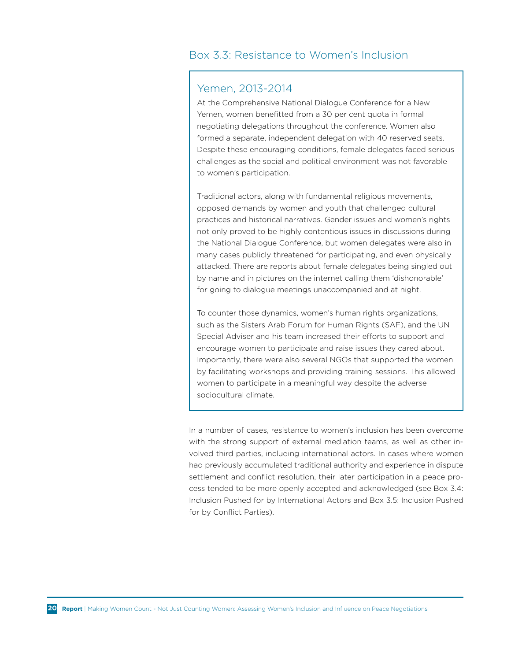### Box 3.3: Resistance to Women's Inclusion

#### Yemen, 2013-2014

At the Comprehensive National Dialogue Conference for a New Yemen, women benefitted from a 30 per cent quota in formal negotiating delegations throughout the conference. Women also formed a separate, independent delegation with 40 reserved seats. Despite these encouraging conditions, female delegates faced serious challenges as the social and political environment was not favorable to women's participation.

Traditional actors, along with fundamental religious movements, opposed demands by women and youth that challenged cultural practices and historical narratives. Gender issues and women's rights not only proved to be highly contentious issues in discussions during the National Dialogue Conference, but women delegates were also in many cases publicly threatened for participating, and even physically attacked. There are reports about female delegates being singled out by name and in pictures on the internet calling them 'dishonorable' for going to dialogue meetings unaccompanied and at night.

To counter those dynamics, women's human rights organizations, such as the Sisters Arab Forum for Human Rights (SAF), and the UN Special Adviser and his team increased their efforts to support and encourage women to participate and raise issues they cared about. Importantly, there were also several NGOs that supported the women by facilitating workshops and providing training sessions. This allowed women to participate in a meaningful way despite the adverse sociocultural climate.

In a number of cases, resistance to women's inclusion has been overcome with the strong support of external mediation teams, as well as other involved third parties, including international actors. In cases where women had previously accumulated traditional authority and experience in dispute settlement and conflict resolution, their later participation in a peace process tended to be more openly accepted and acknowledged (see Box 3.4: Inclusion Pushed for by International Actors and Box 3.5: Inclusion Pushed for by Conflict Parties).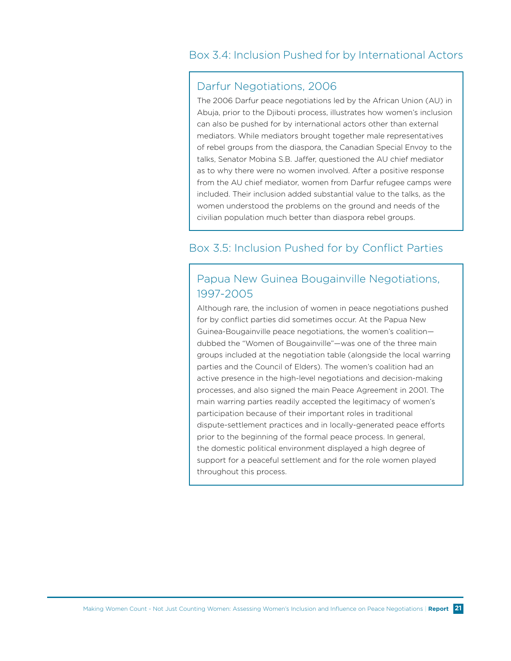### Box 3.4: Inclusion Pushed for by International Actors

#### Darfur Negotiations, 2006

The 2006 Darfur peace negotiations led by the African Union (AU) in Abuja, prior to the Djibouti process, illustrates how women's inclusion can also be pushed for by international actors other than external mediators. While mediators brought together male representatives of rebel groups from the diaspora, the Canadian Special Envoy to the talks, Senator Mobina S.B. Jaffer, questioned the AU chief mediator as to why there were no women involved. After a positive response from the AU chief mediator, women from Darfur refugee camps were included. Their inclusion added substantial value to the talks, as the women understood the problems on the ground and needs of the civilian population much better than diaspora rebel groups.

### Box 3.5: Inclusion Pushed for by Conflict Parties

### Papua New Guinea Bougainville Negotiations, 1997-2005

Although rare, the inclusion of women in peace negotiations pushed for by conflict parties did sometimes occur. At the Papua New Guinea-Bougainville peace negotiations, the women's coalition dubbed the "Women of Bougainville"—was one of the three main groups included at the negotiation table (alongside the local warring parties and the Council of Elders). The women's coalition had an active presence in the high-level negotiations and decision-making processes, and also signed the main Peace Agreement in 2001. The main warring parties readily accepted the legitimacy of women's participation because of their important roles in traditional dispute-settlement practices and in locally-generated peace efforts prior to the beginning of the formal peace process. In general, the domestic political environment displayed a high degree of support for a peaceful settlement and for the role women played throughout this process.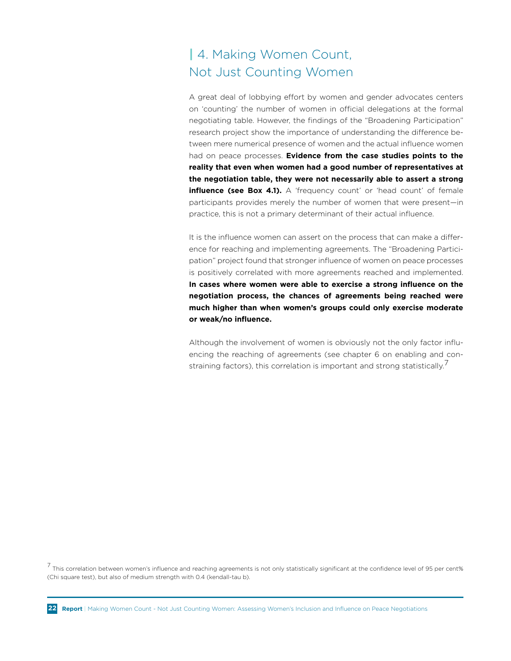# **|** 4. Making Women Count, Not Just Counting Women

A great deal of lobbying effort by women and gender advocates centers on 'counting' the number of women in official delegations at the formal negotiating table. However, the findings of the "Broadening Participation" research project show the importance of understanding the difference between mere numerical presence of women and the actual influence women had on peace processes. **Evidence from the case studies points to the reality that even when women had a good number of representatives at the negotiation table, they were not necessarily able to assert a strong influence (see Box 4.1).** A 'frequency count' or 'head count' of female participants provides merely the number of women that were present—in practice, this is not a primary determinant of their actual influence.

It is the influence women can assert on the process that can make a difference for reaching and implementing agreements. The "Broadening Participation" project found that stronger influence of women on peace processes is positively correlated with more agreements reached and implemented. **In cases where women were able to exercise a strong influence on the negotiation process, the chances of agreements being reached were much higher than when women's groups could only exercise moderate or weak/no influence.**

Although the involvement of women is obviously not the only factor influencing the reaching of agreements (see chapter 6 on enabling and constraining factors), this correlation is important and strong statistically. $\prime$ 

 $^7$  This correlation between women's influence and reaching agreements is not only statistically significant at the confidence level of 95 per cent% (Chi square test), but also of medium strength with 0.4 (kendall-tau b).

**22 Report** | Making Women Count - Not Just Counting Women: Assessing Women's Inclusion and Influence on Peace Negotiations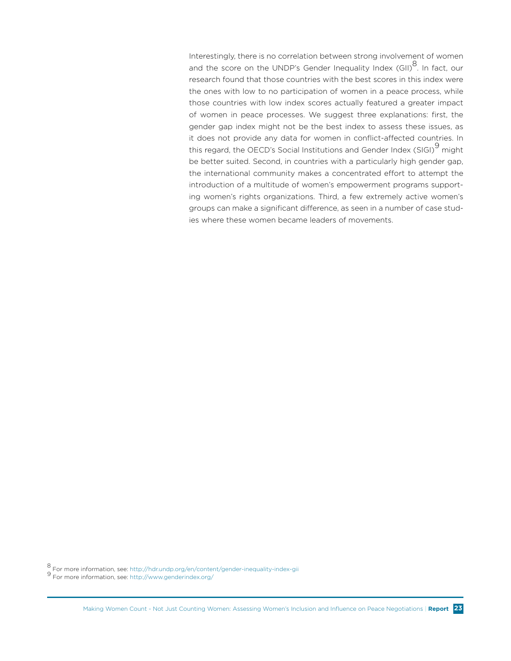Interestingly, there is no correlation between strong involvement of women and the score on the UNDP's Gender Inequality Index (GII) $^8$ . In fact, our research found that those countries with the best scores in this index were the ones with low to no participation of women in a peace process, while those countries with low index scores actually featured a greater impact of women in peace processes. We suggest three explanations: first, the gender gap index might not be the best index to assess these issues, as it does not provide any data for women in conflict-affected countries. In this regard, the OECD's Social Institutions and Gender Index (SIGI)<sup>9</sup> might be better suited. Second, in countries with a particularly high gender gap, the international community makes a concentrated effort to attempt the introduction of a multitude of women's empowerment programs supporting women's rights organizations. Third, a few extremely active women's groups can make a significant difference, as seen in a number of case studies where these women became leaders of movements.

8 For more information, see: http://hdr.undp.org/en/content/gender-inequality-index-gii 9 For more information, see: http://www.genderindex.org/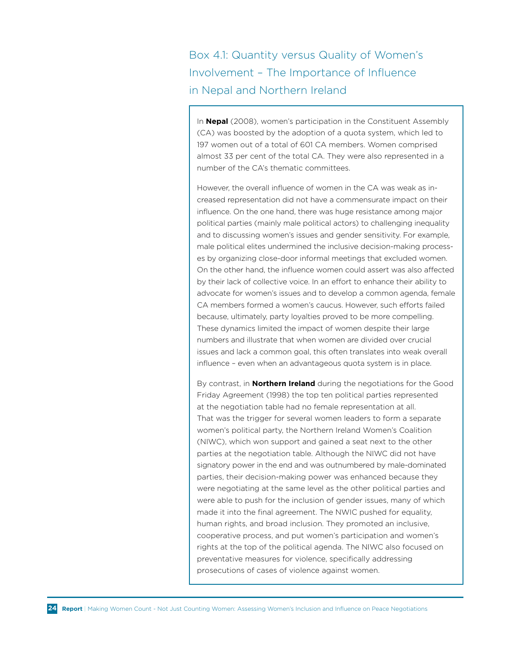Box 4.1: Quantity versus Quality of Women's Involvement – The Importance of Influence in Nepal and Northern Ireland

In **Nepal** (2008), women's participation in the Constituent Assembly (CA) was boosted by the adoption of a quota system, which led to 197 women out of a total of 601 CA members. Women comprised almost 33 per cent of the total CA. They were also represented in a number of the CA's thematic committees.

However, the overall influence of women in the CA was weak as increased representation did not have a commensurate impact on their influence. On the one hand, there was huge resistance among major political parties (mainly male political actors) to challenging inequality and to discussing women's issues and gender sensitivity. For example, male political elites undermined the inclusive decision-making processes by organizing close-door informal meetings that excluded women. On the other hand, the influence women could assert was also affected by their lack of collective voice. In an effort to enhance their ability to advocate for women's issues and to develop a common agenda, female CA members formed a women's caucus. However, such efforts failed because, ultimately, party loyalties proved to be more compelling. These dynamics limited the impact of women despite their large numbers and illustrate that when women are divided over crucial issues and lack a common goal, this often translates into weak overall influence – even when an advantageous quota system is in place.

By contrast, in **Northern Ireland** during the negotiations for the Good Friday Agreement (1998) the top ten political parties represented at the negotiation table had no female representation at all. That was the trigger for several women leaders to form a separate women's political party, the Northern Ireland Women's Coalition (NIWC), which won support and gained a seat next to the other parties at the negotiation table. Although the NIWC did not have signatory power in the end and was outnumbered by male-dominated parties, their decision-making power was enhanced because they were negotiating at the same level as the other political parties and were able to push for the inclusion of gender issues, many of which made it into the final agreement. The NWIC pushed for equality, human rights, and broad inclusion. They promoted an inclusive, cooperative process, and put women's participation and women's rights at the top of the political agenda. The NIWC also focused on preventative measures for violence, specifically addressing prosecutions of cases of violence against women.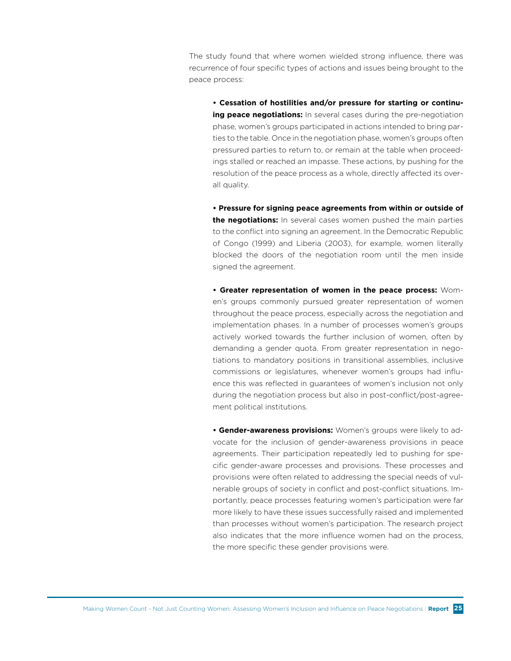The study found that where women wielded strong influence, there was recurrence of four specific types of actions and issues being brought to the peace process:

**• Cessation of hostilities and/or pressure for starting or continuing peace negotiations:** In several cases during the pre-negotiation phase, women's groups participated in actions intended to bring parties to the table. Once in the negotiation phase, women's groups often pressured parties to return to, or remain at the table when proceedings stalled or reached an impasse. These actions, by pushing for the resolution of the peace process as a whole, directly affected its overall quality.

**• Pressure for signing peace agreements from within or outside of the negotiations:** In several cases women pushed the main parties to the conflict into signing an agreement. In the Democratic Republic of Congo (1999) and Liberia (2003), for example, women literally blocked the doors of the negotiation room until the men inside signed the agreement.

**• Greater representation of women in the peace process:** Women's groups commonly pursued greater representation of women throughout the peace process, especially across the negotiation and implementation phases. In a number of processes women's groups actively worked towards the further inclusion of women, often by demanding a gender quota. From greater representation in negotiations to mandatory positions in transitional assemblies, inclusive commissions or legislatures, whenever women's groups had influence this was reflected in guarantees of women's inclusion not only during the negotiation process but also in post-conflict/post-agreement political institutions.

**• Gender-awareness provisions:** Women's groups were likely to advocate for the inclusion of gender-awareness provisions in peace agreements. Their participation repeatedly led to pushing for specific gender-aware processes and provisions. These processes and provisions were often related to addressing the special needs of vulnerable groups of society in conflict and post-conflict situations. Importantly, peace processes featuring women's participation were far more likely to have these issues successfully raised and implemented than processes without women's participation. The research project also indicates that the more influence women had on the process, the more specific these gender provisions were.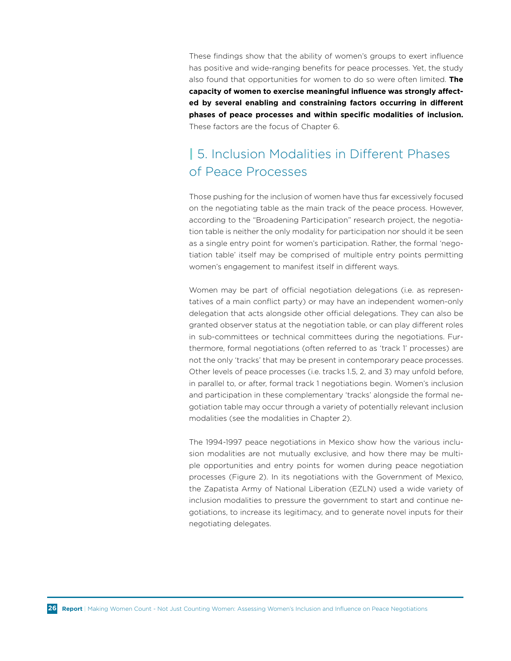These findings show that the ability of women's groups to exert influence has positive and wide-ranging benefits for peace processes. Yet, the study also found that opportunities for women to do so were often limited. **The capacity of women to exercise meaningful influence was strongly affected by several enabling and constraining factors occurring in different phases of peace processes and within specific modalities of inclusion.** These factors are the focus of Chapter 6.

# **|** 5. Inclusion Modalities in Different Phases of Peace Processes

Those pushing for the inclusion of women have thus far excessively focused on the negotiating table as the main track of the peace process. However, according to the "Broadening Participation" research project, the negotiation table is neither the only modality for participation nor should it be seen as a single entry point for women's participation. Rather, the formal 'negotiation table' itself may be comprised of multiple entry points permitting women's engagement to manifest itself in different ways.

Women may be part of official negotiation delegations (i.e. as representatives of a main conflict party) or may have an independent women-only delegation that acts alongside other official delegations. They can also be granted observer status at the negotiation table, or can play different roles in sub-committees or technical committees during the negotiations. Furthermore, formal negotiations (often referred to as 'track 1' processes) are not the only 'tracks' that may be present in contemporary peace processes. Other levels of peace processes (i.e. tracks 1.5, 2, and 3) may unfold before, in parallel to, or after, formal track 1 negotiations begin. Women's inclusion and participation in these complementary 'tracks' alongside the formal negotiation table may occur through a variety of potentially relevant inclusion modalities (see the modalities in Chapter 2).

The 1994-1997 peace negotiations in Mexico show how the various inclusion modalities are not mutually exclusive, and how there may be multiple opportunities and entry points for women during peace negotiation processes (Figure 2). In its negotiations with the Government of Mexico, the Zapatista Army of National Liberation (EZLN) used a wide variety of inclusion modalities to pressure the government to start and continue negotiations, to increase its legitimacy, and to generate novel inputs for their negotiating delegates.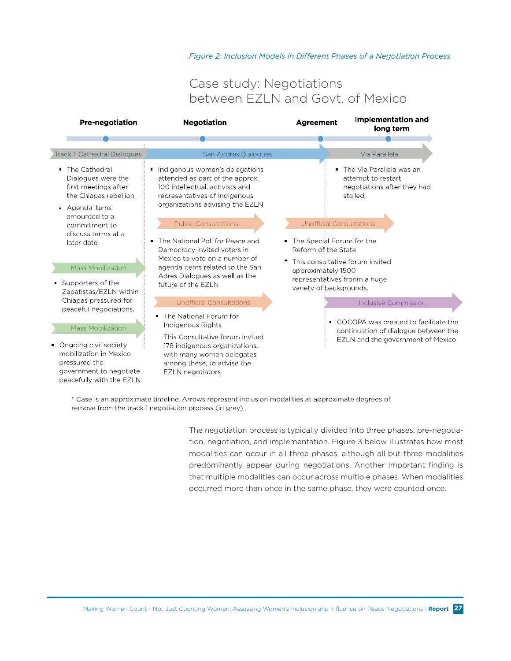#### *Figure 2: Inclusion Models in Different Phases of a Negotiation Process*

### Case study: Negotiations between EZLN and Govt. of Mexico

| <b>Pre-negotiation</b>                                                                                                                                                                                                            | <b>Negotiation</b>                                                                                                                                                                                                                                                                                                                                                                                    |                                                                                                     | <b>Implementation and</b><br><b>Agreement</b><br>long term                                                                                                                                      |
|-----------------------------------------------------------------------------------------------------------------------------------------------------------------------------------------------------------------------------------|-------------------------------------------------------------------------------------------------------------------------------------------------------------------------------------------------------------------------------------------------------------------------------------------------------------------------------------------------------------------------------------------------------|-----------------------------------------------------------------------------------------------------|-------------------------------------------------------------------------------------------------------------------------------------------------------------------------------------------------|
|                                                                                                                                                                                                                                   |                                                                                                                                                                                                                                                                                                                                                                                                       |                                                                                                     |                                                                                                                                                                                                 |
| <b>Track 1. Cathedral Dialogues</b>                                                                                                                                                                                               | San Andres Dialogues                                                                                                                                                                                                                                                                                                                                                                                  |                                                                                                     | Via Parallela                                                                                                                                                                                   |
| • The Cathedral<br>Dialogues were the<br>first meetings after<br>the Chiapas rebellion.<br>Agenda items<br>amounted to a<br>commitment to<br>discuss terms at a<br>later date.<br><b>Mass Mobilization</b><br>• Supporters of the | Indigenous women's delegations<br>attended as part of the approx.<br>100 intellectual, activists and<br>representatives of indigenous<br>organizations advising the EZLN<br><b>Public Consultations</b><br>The National Poll for Peace and<br>Democracy invited voters in<br>Mexico to vote on a number of<br>agenda items related to the San<br>Adres Dialogues as well as the<br>future of the EZLN | • The Special Forum for the<br>Reform of the State<br>approximately 1500<br>variety of backgrounds. | The Via Parallela was an<br>attempt to restart<br>negotiations after they had<br>stalled.<br><b>Unofficial Consultations</b><br>This consultative forum invited<br>representatives fronm a huge |
| Chiapas pressured for                                                                                                                                                                                                             | <b>Unofficial Consultations</b>                                                                                                                                                                                                                                                                                                                                                                       |                                                                                                     | <b>Inclusive Commission</b>                                                                                                                                                                     |
| peaceful negociations.<br><b>Mass Mobilization</b><br>• Ongoing civil society<br>mobilization in Mexico<br>pressured the<br>government to negotiate<br>peacefully with the EZLN                                                   | The National Forum for<br>Indigenous Rights<br>This Consultative forum invited<br>178 indigenous organizations,<br>with many women delegates<br>among these, to advise the<br>EZLN negotiators.                                                                                                                                                                                                       |                                                                                                     | • COCOPA was created to facilitate the<br>continuation of dialogue between the<br>EZLN and the government of Mexico                                                                             |

\* Case is an approximate timeline. Arrows represent inclusion modalities at approximate degrees of remove from the track 1 negotiation process (in grey).

> The negotiation process is typically divided into three phases: pre-negotiation, negotiation, and implementation. Figure 3 below illustrates how most modalities can occur in all three phases, although all but three modalities predominantly appear during negotiations. Another important finding is that multiple modalities can occur across multiple phases. When modalities occurred more than once in the same phase, they were counted once.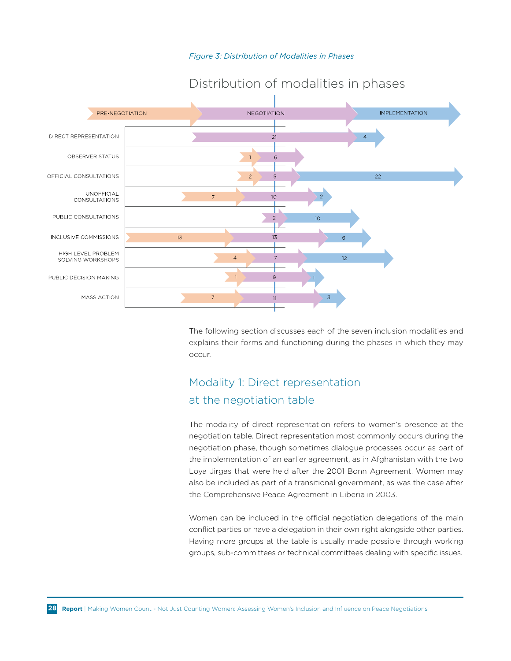



### Distribution of modalities in phases

The following section discusses each of the seven inclusion modalities and explains their forms and functioning during the phases in which they may occur.

### Modality 1: Direct representation at the negotiation table

The modality of direct representation refers to women's presence at the negotiation table. Direct representation most commonly occurs during the negotiation phase, though sometimes dialogue processes occur as part of the implementation of an earlier agreement, as in Afghanistan with the two Loya Jirgas that were held after the 2001 Bonn Agreement. Women may also be included as part of a transitional government, as was the case after the Comprehensive Peace Agreement in Liberia in 2003.

Women can be included in the official negotiation delegations of the main conflict parties or have a delegation in their own right alongside other parties. Having more groups at the table is usually made possible through working groups, sub-committees or technical committees dealing with specific issues.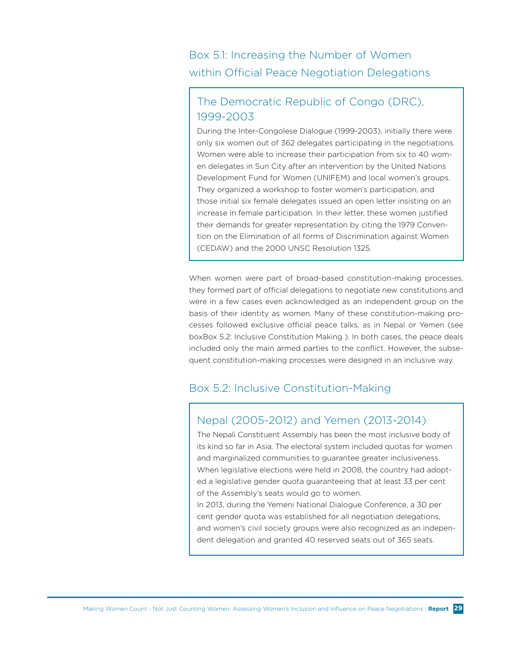Box 5.1: Increasing the Number of Women within Official Peace Negotiation Delegations

### The Democratic Republic of Congo (DRC), 1999-2003

During the Inter-Congolese Dialogue (1999-2003), initially there were only six women out of 362 delegates participating in the negotiations. Women were able to increase their participation from six to 40 women delegates in Sun City after an intervention by the United Nations Development Fund for Women (UNIFEM) and local women's groups. They organized a workshop to foster women's participation, and those initial six female delegates issued an open letter insisting on an increase in female participation. In their letter, these women justified their demands for greater representation by citing the 1979 Convention on the Elimination of all forms of Discrimination against Women (CEDAW) and the 2000 UNSC Resolution 1325.

When women were part of broad-based constitution-making processes, they formed part of official delegations to negotiate new constitutions and were in a few cases even acknowledged as an independent group on the basis of their identity as women. Many of these constitution-making processes followed exclusive official peace talks, as in Nepal or Yemen (see boxBox 5.2: Inclusive Constitution Making ). In both cases, the peace deals included only the main armed parties to the conflict. However, the subsequent constitution-making processes were designed in an inclusive way.

### Box 5.2: Inclusive Constitution-Making

### Nepal (2005-2012) and Yemen (2013-2014)

The Nepali Constituent Assembly has been the most inclusive body of its kind so far in Asia. The electoral system included quotas for women and marginalized communities to guarantee greater inclusiveness. When legislative elections were held in 2008, the country had adopted a legislative gender quota guaranteeing that at least 33 per cent of the Assembly's seats would go to women.

In 2013, during the Yemeni National Dialogue Conference, a 30 per cent gender quota was established for all negotiation delegations, and women's civil society groups were also recognized as an independent delegation and granted 40 reserved seats out of 365 seats.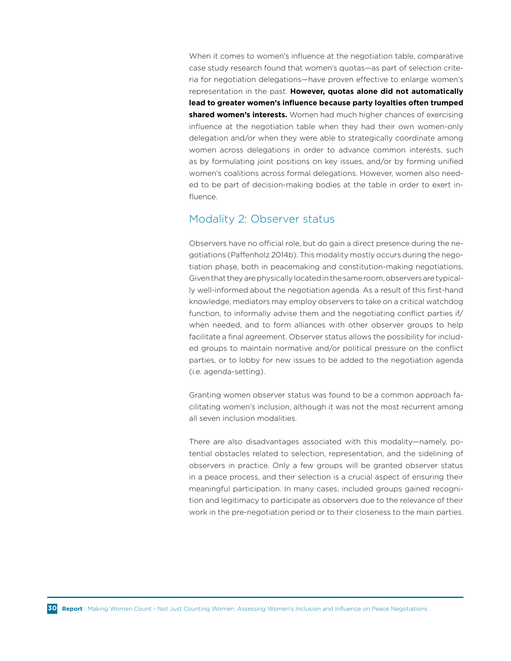When it comes to women's influence at the negotiation table, comparative case study research found that women's quotas—as part of selection criteria for negotiation delegations—have proven effective to enlarge women's representation in the past. **However, quotas alone did not automatically lead to greater women's influence because party loyalties often trumped shared women's interests.** Women had much higher chances of exercising influence at the negotiation table when they had their own women-only delegation and/or when they were able to strategically coordinate among women across delegations in order to advance common interests, such as by formulating joint positions on key issues, and/or by forming unified women's coalitions across formal delegations. However, women also needed to be part of decision-making bodies at the table in order to exert influence.

#### Modality 2: Observer status

Observers have no official role, but do gain a direct presence during the negotiations (Paffenholz 2014b). This modality mostly occurs during the negotiation phase, both in peacemaking and constitution-making negotiations. Given that they are physically located in the same room, observers are typically well-informed about the negotiation agenda. As a result of this first-hand knowledge, mediators may employ observers to take on a critical watchdog function, to informally advise them and the negotiating conflict parties if/ when needed, and to form alliances with other observer groups to help facilitate a final agreement. Observer status allows the possibility for included groups to maintain normative and/or political pressure on the conflict parties, or to lobby for new issues to be added to the negotiation agenda (i.e. agenda-setting).

Granting women observer status was found to be a common approach facilitating women's inclusion, although it was not the most recurrent among all seven inclusion modalities.

There are also disadvantages associated with this modality—namely, potential obstacles related to selection, representation, and the sidelining of observers in practice. Only a few groups will be granted observer status in a peace process, and their selection is a crucial aspect of ensuring their meaningful participation. In many cases, included groups gained recognition and legitimacy to participate as observers due to the relevance of their work in the pre-negotiation period or to their closeness to the main parties.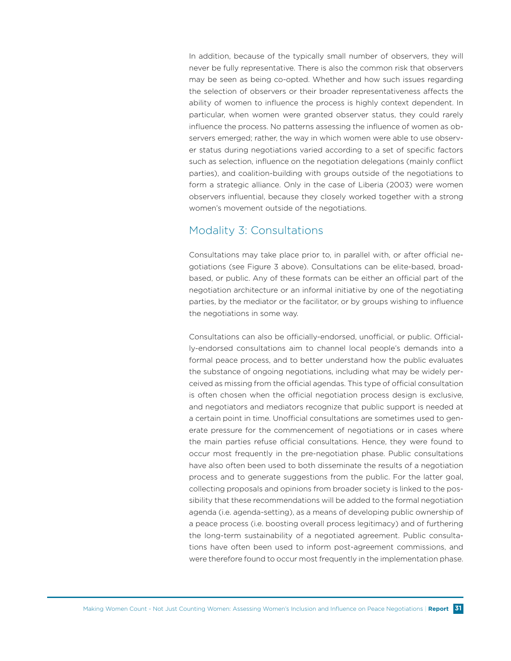In addition, because of the typically small number of observers, they will never be fully representative. There is also the common risk that observers may be seen as being co-opted. Whether and how such issues regarding the selection of observers or their broader representativeness affects the ability of women to influence the process is highly context dependent. In particular, when women were granted observer status, they could rarely influence the process. No patterns assessing the influence of women as observers emerged; rather, the way in which women were able to use observer status during negotiations varied according to a set of specific factors such as selection, influence on the negotiation delegations (mainly conflict parties), and coalition-building with groups outside of the negotiations to form a strategic alliance. Only in the case of Liberia (2003) were women observers influential, because they closely worked together with a strong women's movement outside of the negotiations.

#### Modality 3: Consultations

Consultations may take place prior to, in parallel with, or after official negotiations (see Figure 3 above). Consultations can be elite-based, broadbased, or public. Any of these formats can be either an official part of the negotiation architecture or an informal initiative by one of the negotiating parties, by the mediator or the facilitator, or by groups wishing to influence the negotiations in some way.

Consultations can also be officially-endorsed, unofficial, or public. Officially-endorsed consultations aim to channel local people's demands into a formal peace process, and to better understand how the public evaluates the substance of ongoing negotiations, including what may be widely perceived as missing from the official agendas. This type of official consultation is often chosen when the official negotiation process design is exclusive, and negotiators and mediators recognize that public support is needed at a certain point in time. Unofficial consultations are sometimes used to generate pressure for the commencement of negotiations or in cases where the main parties refuse official consultations. Hence, they were found to occur most frequently in the pre-negotiation phase. Public consultations have also often been used to both disseminate the results of a negotiation process and to generate suggestions from the public. For the latter goal, collecting proposals and opinions from broader society is linked to the possibility that these recommendations will be added to the formal negotiation agenda (i.e. agenda-setting), as a means of developing public ownership of a peace process (i.e. boosting overall process legitimacy) and of furthering the long-term sustainability of a negotiated agreement. Public consultations have often been used to inform post-agreement commissions, and were therefore found to occur most frequently in the implementation phase.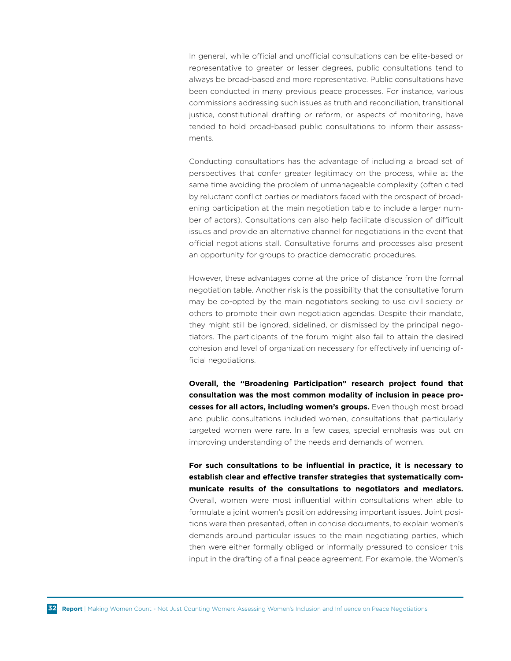In general, while official and unofficial consultations can be elite-based or representative to greater or lesser degrees, public consultations tend to always be broad-based and more representative. Public consultations have been conducted in many previous peace processes. For instance, various commissions addressing such issues as truth and reconciliation, transitional justice, constitutional drafting or reform, or aspects of monitoring, have tended to hold broad-based public consultations to inform their assessments.

Conducting consultations has the advantage of including a broad set of perspectives that confer greater legitimacy on the process, while at the same time avoiding the problem of unmanageable complexity (often cited by reluctant conflict parties or mediators faced with the prospect of broadening participation at the main negotiation table to include a larger number of actors). Consultations can also help facilitate discussion of difficult issues and provide an alternative channel for negotiations in the event that official negotiations stall. Consultative forums and processes also present an opportunity for groups to practice democratic procedures.

However, these advantages come at the price of distance from the formal negotiation table. Another risk is the possibility that the consultative forum may be co-opted by the main negotiators seeking to use civil society or others to promote their own negotiation agendas. Despite their mandate, they might still be ignored, sidelined, or dismissed by the principal negotiators. The participants of the forum might also fail to attain the desired cohesion and level of organization necessary for effectively influencing official negotiations.

**Overall, the "Broadening Participation" research project found that consultation was the most common modality of inclusion in peace processes for all actors, including women's groups.** Even though most broad and public consultations included women, consultations that particularly targeted women were rare. In a few cases, special emphasis was put on improving understanding of the needs and demands of women.

**For such consultations to be influential in practice, it is necessary to establish clear and effective transfer strategies that systematically communicate results of the consultations to negotiators and mediators.** Overall, women were most influential within consultations when able to formulate a joint women's position addressing important issues. Joint positions were then presented, often in concise documents, to explain women's demands around particular issues to the main negotiating parties, which then were either formally obliged or informally pressured to consider this input in the drafting of a final peace agreement. For example, the Women's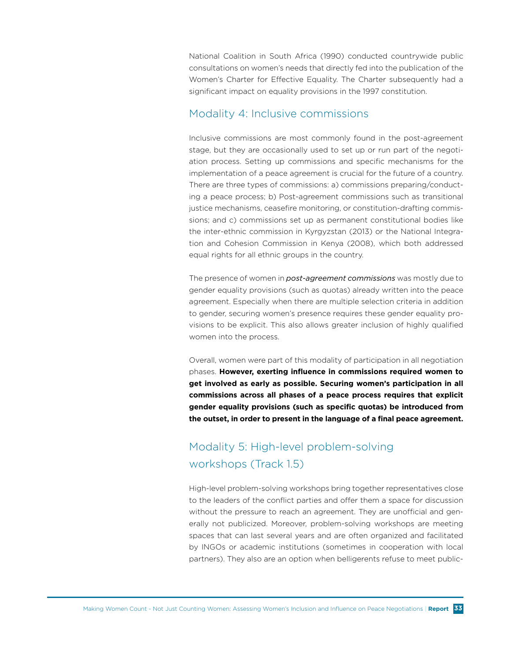National Coalition in South Africa (1990) conducted countrywide public consultations on women's needs that directly fed into the publication of the Women's Charter for Effective Equality. The Charter subsequently had a significant impact on equality provisions in the 1997 constitution.

#### Modality 4: Inclusive commissions

Inclusive commissions are most commonly found in the post-agreement stage, but they are occasionally used to set up or run part of the negotiation process. Setting up commissions and specific mechanisms for the implementation of a peace agreement is crucial for the future of a country. There are three types of commissions: a) commissions preparing/conducting a peace process; b) Post-agreement commissions such as transitional justice mechanisms, ceasefire monitoring, or constitution-drafting commissions; and c) commissions set up as permanent constitutional bodies like the inter-ethnic commission in Kyrgyzstan (2013) or the National Integration and Cohesion Commission in Kenya (2008), which both addressed equal rights for all ethnic groups in the country.

The presence of women in *post-agreement commissions* was mostly due to gender equality provisions (such as quotas) already written into the peace agreement. Especially when there are multiple selection criteria in addition to gender, securing women's presence requires these gender equality provisions to be explicit. This also allows greater inclusion of highly qualified women into the process.

Overall, women were part of this modality of participation in all negotiation phases. **However, exerting influence in commissions required women to get involved as early as possible. Securing women's participation in all commissions across all phases of a peace process requires that explicit gender equality provisions (such as specific quotas) be introduced from the outset, in order to present in the language of a final peace agreement.**

# Modality 5: High-level problem-solving workshops (Track 1.5)

High-level problem-solving workshops bring together representatives close to the leaders of the conflict parties and offer them a space for discussion without the pressure to reach an agreement. They are unofficial and generally not publicized. Moreover, problem-solving workshops are meeting spaces that can last several years and are often organized and facilitated by INGOs or academic institutions (sometimes in cooperation with local partners). They also are an option when belligerents refuse to meet public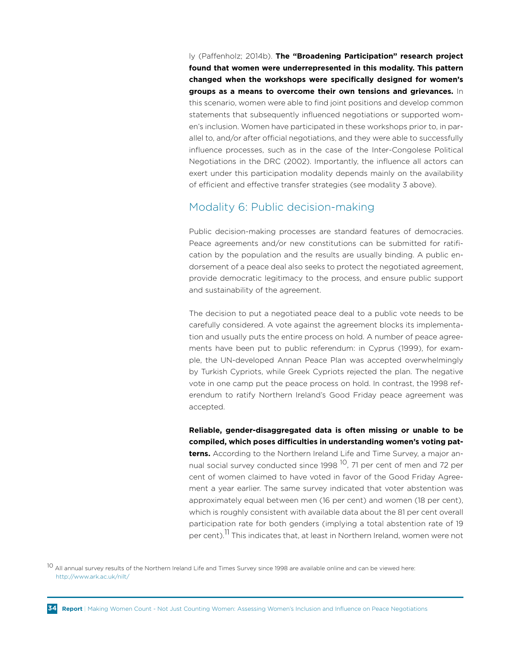ly (Paffenholz; 2014b). **The "Broadening Participation" research project found that women were underrepresented in this modality. This pattern changed when the workshops were specifically designed for women's groups as a means to overcome their own tensions and grievances.** In this scenario, women were able to find joint positions and develop common statements that subsequently influenced negotiations or supported women's inclusion. Women have participated in these workshops prior to, in parallel to, and/or after official negotiations, and they were able to successfully influence processes, such as in the case of the Inter-Congolese Political Negotiations in the DRC (2002). Importantly, the influence all actors can exert under this participation modality depends mainly on the availability of efficient and effective transfer strategies (see modality 3 above).

#### Modality 6: Public decision-making

Public decision-making processes are standard features of democracies. Peace agreements and/or new constitutions can be submitted for ratification by the population and the results are usually binding. A public endorsement of a peace deal also seeks to protect the negotiated agreement, provide democratic legitimacy to the process, and ensure public support and sustainability of the agreement.

The decision to put a negotiated peace deal to a public vote needs to be carefully considered. A vote against the agreement blocks its implementation and usually puts the entire process on hold. A number of peace agreements have been put to public referendum: in Cyprus (1999), for example, the UN-developed Annan Peace Plan was accepted overwhelmingly by Turkish Cypriots, while Greek Cypriots rejected the plan. The negative vote in one camp put the peace process on hold. In contrast, the 1998 referendum to ratify Northern Ireland's Good Friday peace agreement was accepted.

**Reliable, gender-disaggregated data is often missing or unable to be compiled, which poses difficulties in understanding women's voting patterns.** According to the Northern Ireland Life and Time Survey, a major annual social survey conducted since 1998 <sup>10</sup>, 71 per cent of men and 72 per cent of women claimed to have voted in favor of the Good Friday Agreement a year earlier. The same survey indicated that voter abstention was approximately equal between men (16 per cent) and women (18 per cent), which is roughly consistent with available data about the 81 per cent overall participation rate for both genders (implying a total abstention rate of 19 per cent).<sup>11</sup> This indicates that, at least in Northern Ireland, women were not

10 All annual survey results of the Northern Ireland Life and Times Survey since 1998 are available online and can be viewed here: http://www.ark.ac.uk/nilt/

**34 Report** | Making Women Count - Not Just Counting Women: Assessing Women's Inclusion and Influence on Peace Negotiations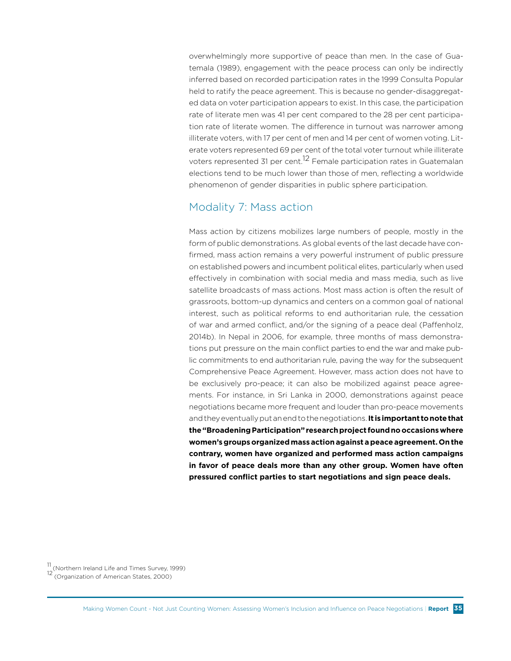overwhelmingly more supportive of peace than men. In the case of Guatemala (1989), engagement with the peace process can only be indirectly inferred based on recorded participation rates in the 1999 Consulta Popular held to ratify the peace agreement. This is because no gender-disaggregated data on voter participation appears to exist. In this case, the participation rate of literate men was 41 per cent compared to the 28 per cent participation rate of literate women. The difference in turnout was narrower among illiterate voters, with 17 per cent of men and 14 per cent of women voting. Literate voters represented 69 per cent of the total voter turnout while illiterate voters represented 31 per cent.<sup>12</sup> Female participation rates in Guatemalan elections tend to be much lower than those of men, reflecting a worldwide phenomenon of gender disparities in public sphere participation.

#### Modality 7: Mass action

Mass action by citizens mobilizes large numbers of people, mostly in the form of public demonstrations. As global events of the last decade have confirmed, mass action remains a very powerful instrument of public pressure on established powers and incumbent political elites, particularly when used effectively in combination with social media and mass media, such as live satellite broadcasts of mass actions. Most mass action is often the result of grassroots, bottom-up dynamics and centers on a common goal of national interest, such as political reforms to end authoritarian rule, the cessation of war and armed conflict, and/or the signing of a peace deal (Paffenholz, 2014b). In Nepal in 2006, for example, three months of mass demonstrations put pressure on the main conflict parties to end the war and make public commitments to end authoritarian rule, paving the way for the subsequent Comprehensive Peace Agreement. However, mass action does not have to be exclusively pro-peace; it can also be mobilized against peace agreements. For instance, in Sri Lanka in 2000, demonstrations against peace negotiations became more frequent and louder than pro-peace movements and they eventually put an end to the negotiations. **It is important to note that the "Broadening Participation" research project found no occasions where women's groups organized mass action against a peace agreement. On the contrary, women have organized and performed mass action campaigns in favor of peace deals more than any other group. Women have often pressured conflict parties to start negotiations and sign peace deals.**

11 (Northern Ireland Life and Times Survey, 1999)

12 (Organization of American States, 2000)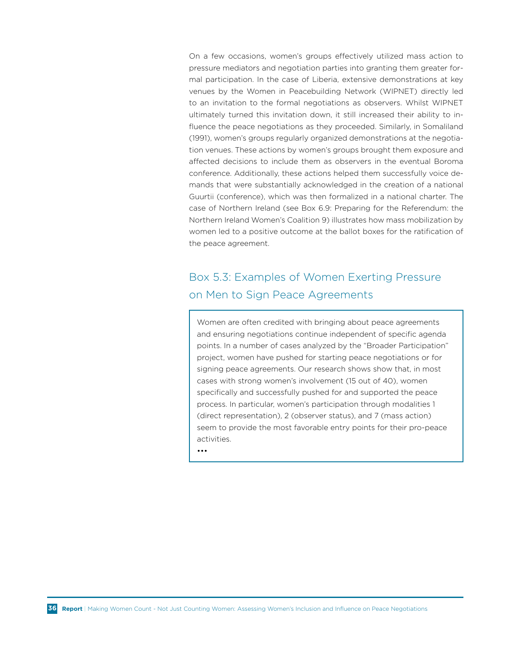On a few occasions, women's groups effectively utilized mass action to pressure mediators and negotiation parties into granting them greater formal participation. In the case of Liberia, extensive demonstrations at key venues by the Women in Peacebuilding Network (WIPNET) directly led to an invitation to the formal negotiations as observers. Whilst WIPNET ultimately turned this invitation down, it still increased their ability to influence the peace negotiations as they proceeded. Similarly, in Somaliland (1991), women's groups regularly organized demonstrations at the negotiation venues. These actions by women's groups brought them exposure and affected decisions to include them as observers in the eventual Boroma conference. Additionally, these actions helped them successfully voice demands that were substantially acknowledged in the creation of a national Guurtii (conference), which was then formalized in a national charter. The case of Northern Ireland (see Box 6.9: Preparing for the Referendum: the Northern Ireland Women's Coalition 9) illustrates how mass mobilization by women led to a positive outcome at the ballot boxes for the ratification of the peace agreement.

# Box 5.3: Examples of Women Exerting Pressure on Men to Sign Peace Agreements

Women are often credited with bringing about peace agreements and ensuring negotiations continue independent of specific agenda points. In a number of cases analyzed by the "Broader Participation" project, women have pushed for starting peace negotiations or for signing peace agreements. Our research shows show that, in most cases with strong women's involvement (15 out of 40), women specifically and successfully pushed for and supported the peace process. In particular, women's participation through modalities 1 (direct representation), 2 (observer status), and 7 (mass action) seem to provide the most favorable entry points for their pro-peace activities.

•••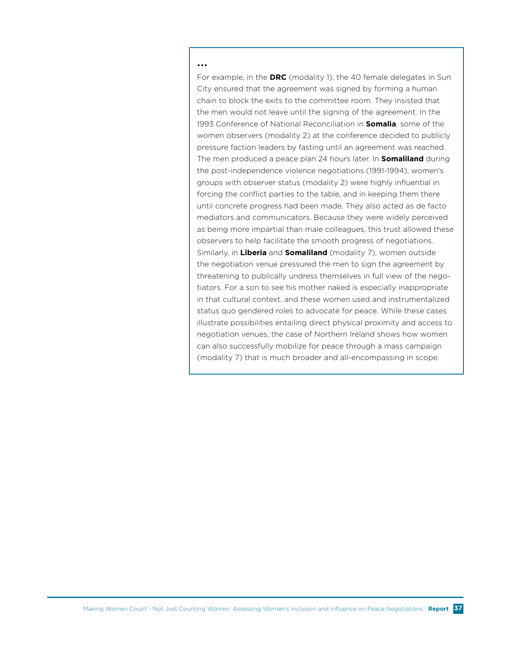#### •••

For example, in the **DRC** (modality 1), the 40 female delegates in Sun City ensured that the agreement was signed by forming a human chain to block the exits to the committee room. They insisted that the men would not leave until the signing of the agreement. In the 1993 Conference of National Reconciliation in **Somalia**, some of the women observers (modality 2) at the conference decided to publicly pressure faction leaders by fasting until an agreement was reached. The men produced a peace plan 24 hours later. In **Somaliland** during the post-independence violence negotiations (1991-1994), women's groups with observer status (modality 2) were highly influential in forcing the conflict parties to the table, and in keeping them there until concrete progress had been made. They also acted as de facto mediators and communicators. Because they were widely perceived as being more impartial than male colleagues, this trust allowed these observers to help facilitate the smooth progress of negotiations. Similarly, in **Liberia** and **Somaliland** (modality 7), women outside the negotiation venue pressured the men to sign the agreement by threatening to publically undress themselves in full view of the negotiators. For a son to see his mother naked is especially inappropriate in that cultural context, and these women used and instrumentalized status quo gendered roles to advocate for peace. While these cases illustrate possibilities entailing direct physical proximity and access to negotiation venues, the case of Northern Ireland shows how women can also successfully mobilize for peace through a mass campaign (modality 7) that is much broader and all-encompassing in scope.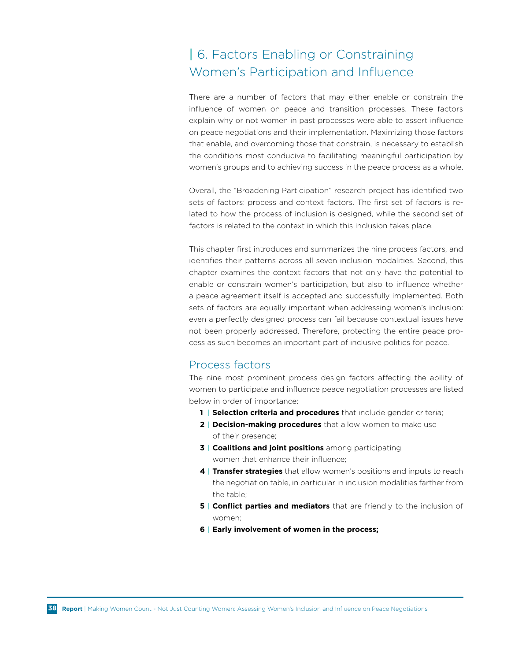# **|** 6. Factors Enabling or Constraining Women's Participation and Influence

There are a number of factors that may either enable or constrain the influence of women on peace and transition processes. These factors explain why or not women in past processes were able to assert influence on peace negotiations and their implementation. Maximizing those factors that enable, and overcoming those that constrain, is necessary to establish the conditions most conducive to facilitating meaningful participation by women's groups and to achieving success in the peace process as a whole.

Overall, the "Broadening Participation" research project has identified two sets of factors: process and context factors. The first set of factors is related to how the process of inclusion is designed, while the second set of factors is related to the context in which this inclusion takes place.

This chapter first introduces and summarizes the nine process factors, and identifies their patterns across all seven inclusion modalities. Second, this chapter examines the context factors that not only have the potential to enable or constrain women's participation, but also to influence whether a peace agreement itself is accepted and successfully implemented. Both sets of factors are equally important when addressing women's inclusion: even a perfectly designed process can fail because contextual issues have not been properly addressed. Therefore, protecting the entire peace process as such becomes an important part of inclusive politics for peace.

#### Process factors

The nine most prominent process design factors affecting the ability of women to participate and influence peace negotiation processes are listed below in order of importance:

- **1 | Selection criteria and procedures** that include gender criteria;
- **2 | Decision-making procedures** that allow women to make use of their presence;
- **3 | Coalitions and joint positions** among participating women that enhance their influence;
- **4 | Transfer strategies** that allow women's positions and inputs to reach the negotiation table, in particular in inclusion modalities farther from the table;
- **5 | Conflict parties and mediators** that are friendly to the inclusion of women;
- **6 | Early involvement of women in the process;**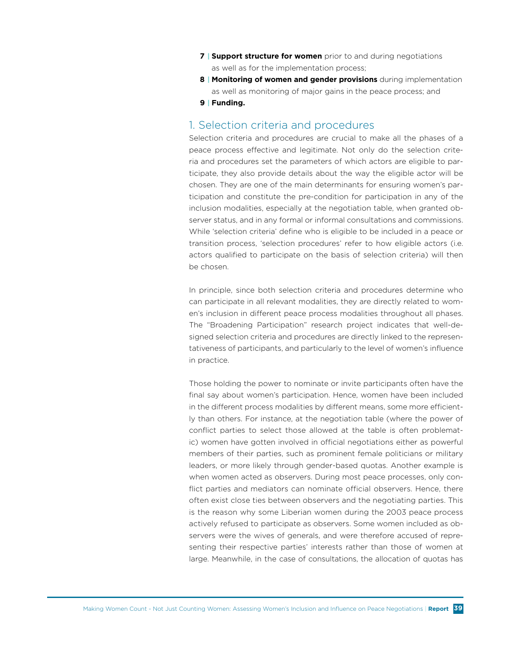- **7 | Support structure for women** prior to and during negotiations as well as for the implementation process;
- **8 | Monitoring of women and gender provisions** during implementation as well as monitoring of major gains in the peace process; and
- **9 | Funding.**

#### 1. Selection criteria and procedures

Selection criteria and procedures are crucial to make all the phases of a peace process effective and legitimate. Not only do the selection criteria and procedures set the parameters of which actors are eligible to participate, they also provide details about the way the eligible actor will be chosen. They are one of the main determinants for ensuring women's participation and constitute the pre-condition for participation in any of the inclusion modalities, especially at the negotiation table, when granted observer status, and in any formal or informal consultations and commissions. While 'selection criteria' define who is eligible to be included in a peace or transition process, 'selection procedures' refer to how eligible actors (i.e. actors qualified to participate on the basis of selection criteria) will then be chosen.

In principle, since both selection criteria and procedures determine who can participate in all relevant modalities, they are directly related to women's inclusion in different peace process modalities throughout all phases. The "Broadening Participation" research project indicates that well-designed selection criteria and procedures are directly linked to the representativeness of participants, and particularly to the level of women's influence in practice.

Those holding the power to nominate or invite participants often have the final say about women's participation. Hence, women have been included in the different process modalities by different means, some more efficiently than others. For instance, at the negotiation table (where the power of conflict parties to select those allowed at the table is often problematic) women have gotten involved in official negotiations either as powerful members of their parties, such as prominent female politicians or military leaders, or more likely through gender-based quotas. Another example is when women acted as observers. During most peace processes, only conflict parties and mediators can nominate official observers. Hence, there often exist close ties between observers and the negotiating parties. This is the reason why some Liberian women during the 2003 peace process actively refused to participate as observers. Some women included as observers were the wives of generals, and were therefore accused of representing their respective parties' interests rather than those of women at large. Meanwhile, in the case of consultations, the allocation of quotas has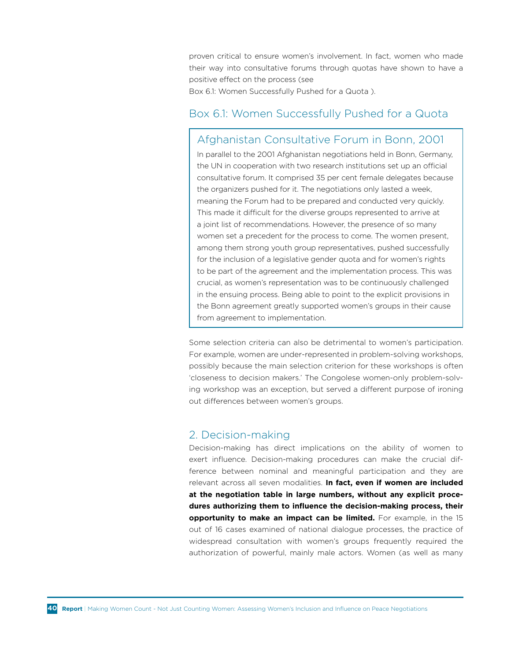proven critical to ensure women's involvement. In fact, women who made their way into consultative forums through quotas have shown to have a positive effect on the process (see

Box 6.1: Women Successfully Pushed for a Quota ).

### Box 6.1: Women Successfully Pushed for a Quota

### Afghanistan Consultative Forum in Bonn, 2001

In parallel to the 2001 Afghanistan negotiations held in Bonn, Germany, the UN in cooperation with two research institutions set up an official consultative forum. It comprised 35 per cent female delegates because the organizers pushed for it. The negotiations only lasted a week, meaning the Forum had to be prepared and conducted very quickly. This made it difficult for the diverse groups represented to arrive at a joint list of recommendations. However, the presence of so many women set a precedent for the process to come. The women present, among them strong youth group representatives, pushed successfully for the inclusion of a legislative gender quota and for women's rights to be part of the agreement and the implementation process. This was crucial, as women's representation was to be continuously challenged in the ensuing process. Being able to point to the explicit provisions in the Bonn agreement greatly supported women's groups in their cause from agreement to implementation.

Some selection criteria can also be detrimental to women's participation. For example, women are under-represented in problem-solving workshops, possibly because the main selection criterion for these workshops is often 'closeness to decision makers.' The Congolese women-only problem-solving workshop was an exception, but served a different purpose of ironing out differences between women's groups.

#### 2. Decision-making

Decision-making has direct implications on the ability of women to exert influence. Decision-making procedures can make the crucial difference between nominal and meaningful participation and they are relevant across all seven modalities. **In fact, even if women are included at the negotiation table in large numbers, without any explicit procedures authorizing them to influence the decision-making process, their opportunity to make an impact can be limited.** For example, in the 15 out of 16 cases examined of national dialogue processes, the practice of widespread consultation with women's groups frequently required the authorization of powerful, mainly male actors. Women (as well as many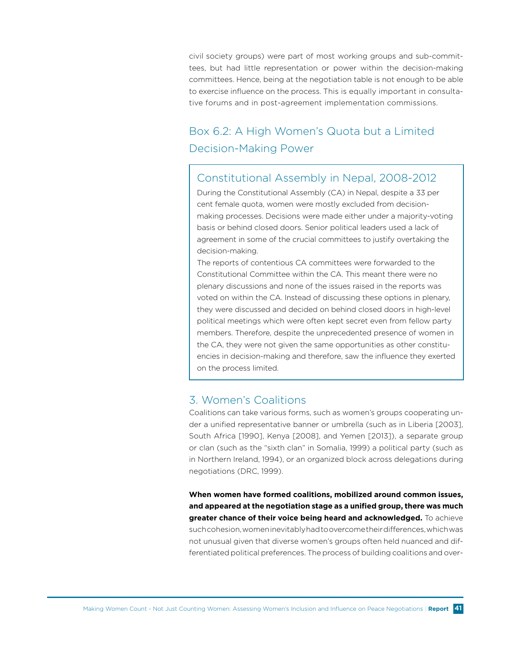civil society groups) were part of most working groups and sub-committees, but had little representation or power within the decision-making committees. Hence, being at the negotiation table is not enough to be able to exercise influence on the process. This is equally important in consultative forums and in post-agreement implementation commissions.

### Box 6.2: A High Women's Quota but a Limited Decision-Making Power

### Constitutional Assembly in Nepal, 2008-2012

During the Constitutional Assembly (CA) in Nepal, despite a 33 per cent female quota, women were mostly excluded from decisionmaking processes. Decisions were made either under a majority-voting basis or behind closed doors. Senior political leaders used a lack of agreement in some of the crucial committees to justify overtaking the decision-making.

The reports of contentious CA committees were forwarded to the Constitutional Committee within the CA. This meant there were no plenary discussions and none of the issues raised in the reports was voted on within the CA. Instead of discussing these options in plenary, they were discussed and decided on behind closed doors in high-level political meetings which were often kept secret even from fellow party members. Therefore, despite the unprecedented presence of women in the CA, they were not given the same opportunities as other constituencies in decision-making and therefore, saw the influence they exerted on the process limited.

#### 3. Women's Coalitions

Coalitions can take various forms, such as women's groups cooperating under a unified representative banner or umbrella (such as in Liberia [2003], South Africa [1990], Kenya [2008], and Yemen [2013]), a separate group or clan (such as the "sixth clan" in Somalia, 1999) a political party (such as in Northern Ireland, 1994), or an organized block across delegations during negotiations (DRC, 1999).

**When women have formed coalitions, mobilized around common issues, and appeared at the negotiation stage as a unified group, there was much greater chance of their voice being heard and acknowledged.** To achieve such cohesion, women inevitably had to overcome their differences, which was not unusual given that diverse women's groups often held nuanced and differentiated political preferences. The process of building coalitions and over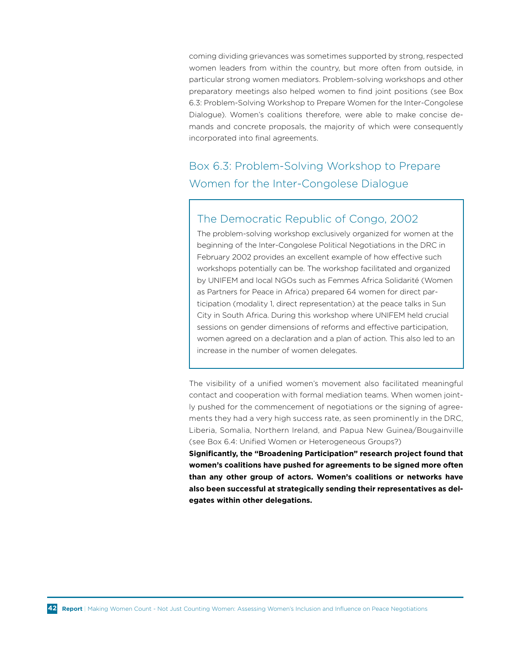coming dividing grievances was sometimes supported by strong, respected women leaders from within the country, but more often from outside, in particular strong women mediators. Problem-solving workshops and other preparatory meetings also helped women to find joint positions (see Box 6.3: Problem-Solving Workshop to Prepare Women for the Inter-Congolese Dialogue). Women's coalitions therefore, were able to make concise demands and concrete proposals, the majority of which were consequently incorporated into final agreements.

### Box 6.3: Problem-Solving Workshop to Prepare Women for the Inter-Congolese Dialogue

#### The Democratic Republic of Congo, 2002

The problem-solving workshop exclusively organized for women at the beginning of the Inter-Congolese Political Negotiations in the DRC in February 2002 provides an excellent example of how effective such workshops potentially can be. The workshop facilitated and organized by UNIFEM and local NGOs such as Femmes Africa Solidarité (Women as Partners for Peace in Africa) prepared 64 women for direct participation (modality 1, direct representation) at the peace talks in Sun City in South Africa. During this workshop where UNIFEM held crucial sessions on gender dimensions of reforms and effective participation, women agreed on a declaration and a plan of action. This also led to an increase in the number of women delegates.

The visibility of a unified women's movement also facilitated meaningful contact and cooperation with formal mediation teams. When women jointly pushed for the commencement of negotiations or the signing of agreements they had a very high success rate, as seen prominently in the DRC, Liberia, Somalia, Northern Ireland, and Papua New Guinea/Bougainville (see Box 6.4: Unified Women or Heterogeneous Groups?)

**Significantly, the "Broadening Participation" research project found that women's coalitions have pushed for agreements to be signed more often than any other group of actors. Women's coalitions or networks have also been successful at strategically sending their representatives as delegates within other delegations.**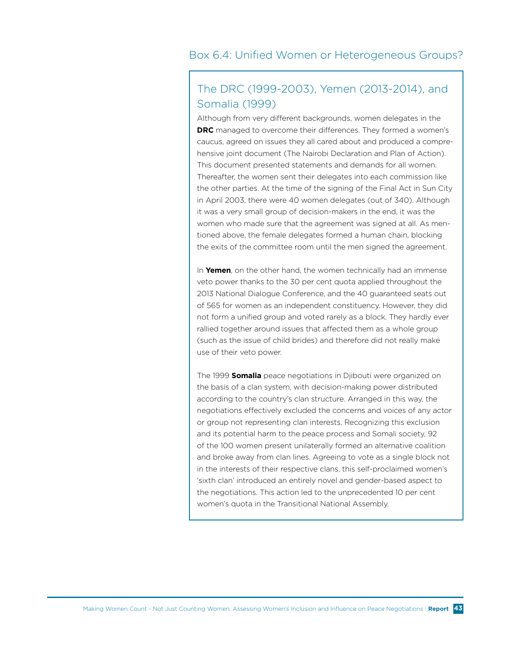#### Box 6.4: Unified Women or Heterogeneous Groups?

### The DRC (1999-2003), Yemen (2013-2014), and Somalia (1999)

Although from very different backgrounds, women delegates in the **DRC** managed to overcome their differences. They formed a women's caucus, agreed on issues they all cared about and produced a comprehensive joint document (The Nairobi Declaration and Plan of Action). This document presented statements and demands for all women. Thereafter, the women sent their delegates into each commission like the other parties. At the time of the signing of the Final Act in Sun City in April 2003, there were 40 women delegates (out of 340). Although it was a very small group of decision-makers in the end, it was the women who made sure that the agreement was signed at all. As mentioned above, the female delegates formed a human chain, blocking the exits of the committee room until the men signed the agreement.

In **Yemen**, on the other hand, the women technically had an immense veto power thanks to the 30 per cent quota applied throughout the 2013 National Dialogue Conference, and the 40 guaranteed seats out of 565 for women as an independent constituency. However, they did not form a unified group and voted rarely as a block. They hardly ever rallied together around issues that affected them as a whole group (such as the issue of child brides) and therefore did not really make use of their veto power.

The 1999 **Somalia** peace negotiations in Djibouti were organized on the basis of a clan system, with decision-making power distributed according to the country's clan structure. Arranged in this way, the negotiations effectively excluded the concerns and voices of any actor or group not representing clan interests. Recognizing this exclusion and its potential harm to the peace process and Somali society, 92 of the 100 women present unilaterally formed an alternative coalition and broke away from clan lines. Agreeing to vote as a single block not in the interests of their respective clans, this self-proclaimed women's 'sixth clan' introduced an entirely novel and gender-based aspect to the negotiations. This action led to the unprecedented 10 per cent women's quota in the Transitional National Assembly.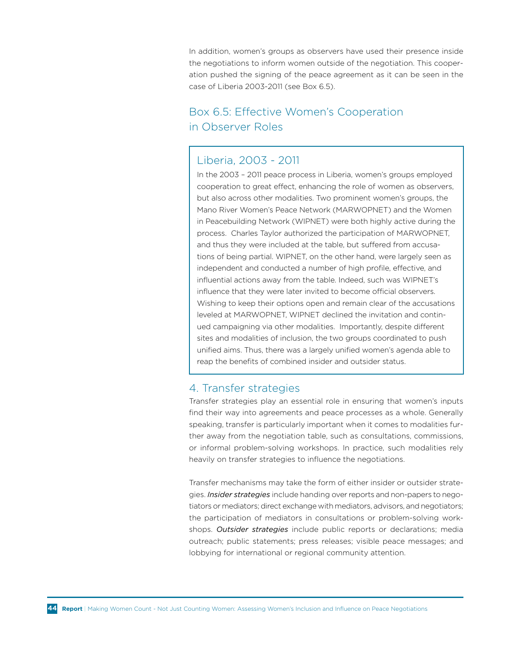In addition, women's groups as observers have used their presence inside the negotiations to inform women outside of the negotiation. This cooperation pushed the signing of the peace agreement as it can be seen in the case of Liberia 2003-2011 (see Box 6.5).

### Box 6.5: Effective Women's Cooperation in Observer Roles

### Liberia, 2003 - 2011

In the 2003 – 2011 peace process in Liberia, women's groups employed cooperation to great effect, enhancing the role of women as observers, but also across other modalities. Two prominent women's groups, the Mano River Women's Peace Network (MARWOPNET) and the Women in Peacebuilding Network (WIPNET) were both highly active during the process. Charles Taylor authorized the participation of MARWOPNET, and thus they were included at the table, but suffered from accusations of being partial. WIPNET, on the other hand, were largely seen as independent and conducted a number of high profile, effective, and influential actions away from the table. Indeed, such was WIPNET's influence that they were later invited to become official observers. Wishing to keep their options open and remain clear of the accusations leveled at MARWOPNET, WIPNET declined the invitation and continued campaigning via other modalities. Importantly, despite different sites and modalities of inclusion, the two groups coordinated to push unified aims. Thus, there was a largely unified women's agenda able to reap the benefits of combined insider and outsider status.

#### 4. Transfer strategies

Transfer strategies play an essential role in ensuring that women's inputs find their way into agreements and peace processes as a whole. Generally speaking, transfer is particularly important when it comes to modalities further away from the negotiation table, such as consultations, commissions, or informal problem-solving workshops. In practice, such modalities rely heavily on transfer strategies to influence the negotiations.

Transfer mechanisms may take the form of either insider or outsider strategies. *Insider strategies* include handing over reports and non-papers to negotiators or mediators; direct exchange with mediators, advisors, and negotiators; the participation of mediators in consultations or problem-solving workshops. *Outsider strategies* include public reports or declarations; media outreach; public statements; press releases; visible peace messages; and lobbying for international or regional community attention.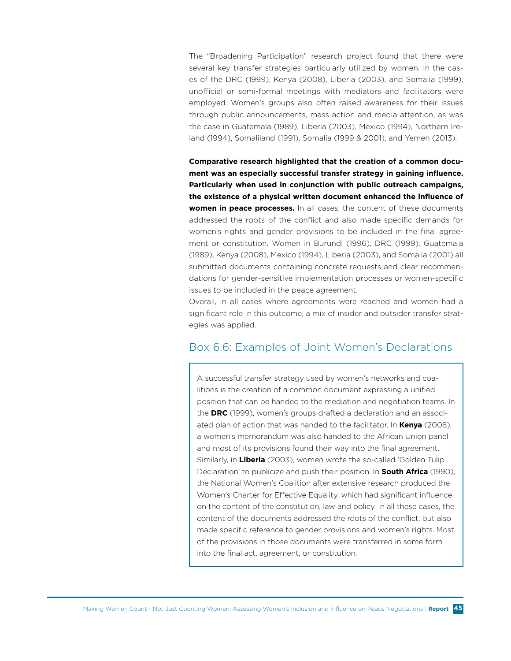The "Broadening Participation" research project found that there were several key transfer strategies particularly utilized by women. In the cases of the DRC (1999), Kenya (2008), Liberia (2003), and Somalia (1999), unofficial or semi-formal meetings with mediators and facilitators were employed. Women's groups also often raised awareness for their issues through public announcements, mass action and media attention, as was the case in Guatemala (1989), Liberia (2003), Mexico (1994), Northern Ireland (1994), Somaliland (1991), Somalia (1999 & 2001), and Yemen (2013).

**Comparative research highlighted that the creation of a common document was an especially successful transfer strategy in gaining influence. Particularly when used in conjunction with public outreach campaigns, the existence of a physical written document enhanced the influence of women in peace processes.** In all cases, the content of these documents addressed the roots of the conflict and also made specific demands for women's rights and gender provisions to be included in the final agreement or constitution. Women in Burundi (1996), DRC (1999), Guatemala (1989), Kenya (2008), Mexico (1994), Liberia (2003), and Somalia (2001) all submitted documents containing concrete requests and clear recommendations for gender-sensitive implementation processes or women-specific issues to be included in the peace agreement.

Overall, in all cases where agreements were reached and women had a significant role in this outcome, a mix of insider and outsider transfer strategies was applied.

#### Box 6.6: Examples of Joint Women's Declarations

A successful transfer strategy used by women's networks and coalitions is the creation of a common document expressing a unified position that can be handed to the mediation and negotiation teams. In the **DRC** (1999), women's groups drafted a declaration and an associated plan of action that was handed to the facilitator. In **Kenya** (2008), a women's memorandum was also handed to the African Union panel and most of its provisions found their way into the final agreement. Similarly, in **Liberia** (2003), women wrote the so-called 'Golden Tulip Declaration' to publicize and push their position. In **South Africa** (1990), the National Women's Coalition after extensive research produced the Women's Charter for Effective Equality, which had significant influence on the content of the constitution, law and policy. In all these cases, the content of the documents addressed the roots of the conflict, but also made specific reference to gender provisions and women's rights. Most of the provisions in those documents were transferred in some form into the final act, agreement, or constitution.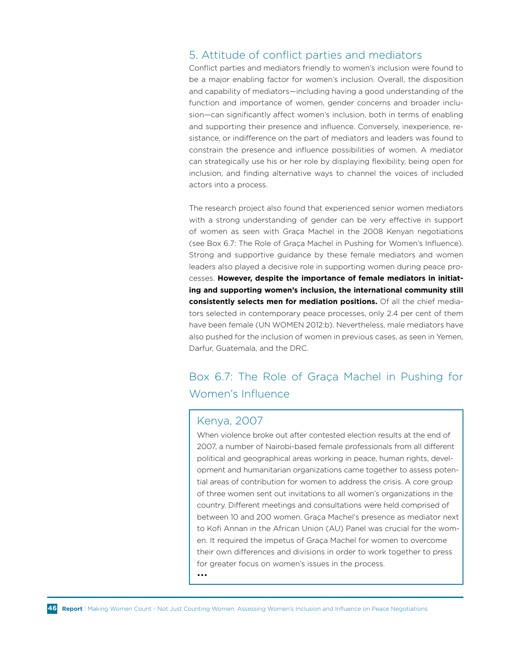### 5. Attitude of conflict parties and mediators

Conflict parties and mediators friendly to women's inclusion were found to be a major enabling factor for women's inclusion. Overall, the disposition and capability of mediators—including having a good understanding of the function and importance of women, gender concerns and broader inclusion—can significantly affect women's inclusion, both in terms of enabling and supporting their presence and influence. Conversely, inexperience, resistance, or indifference on the part of mediators and leaders was found to constrain the presence and influence possibilities of women. A mediator can strategically use his or her role by displaying flexibility, being open for inclusion, and finding alternative ways to channel the voices of included actors into a process.

The research project also found that experienced senior women mediators with a strong understanding of gender can be very effective in support of women as seen with Graça Machel in the 2008 Kenyan negotiations (see Box 6.7: The Role of Graça Machel in Pushing for Women's Influence). Strong and supportive guidance by these female mediators and women leaders also played a decisive role in supporting women during peace processes. **However, despite the importance of female mediators in initiating and supporting women's inclusion, the international community still consistently selects men for mediation positions.** Of all the chief mediators selected in contemporary peace processes, only 2.4 per cent of them have been female (UN WOMEN 2012:b). Nevertheless, male mediators have also pushed for the inclusion of women in previous cases, as seen in Yemen, Darfur, Guatemala, and the DRC.

### Box 6.7: The Role of Graça Machel in Pushing for Women's Influence

#### Kenya, 2007

When violence broke out after contested election results at the end of 2007, a number of Nairobi-based female professionals from all different political and geographical areas working in peace, human rights, development and humanitarian organizations came together to assess potential areas of contribution for women to address the crisis. A core group of three women sent out invitations to all women's organizations in the country. Different meetings and consultations were held comprised of between 10 and 200 women. Graça Machel's presence as mediator next to Kofi Annan in the African Union (AU) Panel was crucial for the women. It required the impetus of Graça Machel for women to overcome their own differences and divisions in order to work together to press for greater focus on women's issues in the process. •••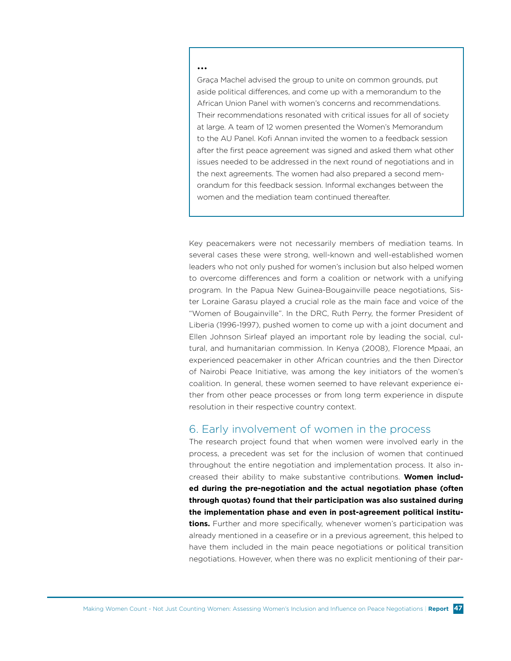#### •••

Graça Machel advised the group to unite on common grounds, put aside political differences, and come up with a memorandum to the African Union Panel with women's concerns and recommendations. Their recommendations resonated with critical issues for all of society at large. A team of 12 women presented the Women's Memorandum to the AU Panel. Kofi Annan invited the women to a feedback session after the first peace agreement was signed and asked them what other issues needed to be addressed in the next round of negotiations and in the next agreements. The women had also prepared a second memorandum for this feedback session. Informal exchanges between the women and the mediation team continued thereafter.

Key peacemakers were not necessarily members of mediation teams. In several cases these were strong, well-known and well-established women leaders who not only pushed for women's inclusion but also helped women to overcome differences and form a coalition or network with a unifying program. In the Papua New Guinea-Bougainville peace negotiations, Sister Loraine Garasu played a crucial role as the main face and voice of the "Women of Bougainville". In the DRC, Ruth Perry, the former President of Liberia (1996-1997), pushed women to come up with a joint document and Ellen Johnson Sirleaf played an important role by leading the social, cultural, and humanitarian commission. In Kenya (2008), Florence Mpaai, an experienced peacemaker in other African countries and the then Director of Nairobi Peace Initiative, was among the key initiators of the women's coalition. In general, these women seemed to have relevant experience either from other peace processes or from long term experience in dispute resolution in their respective country context.

#### 6. Early involvement of women in the process

The research project found that when women were involved early in the process, a precedent was set for the inclusion of women that continued throughout the entire negotiation and implementation process. It also increased their ability to make substantive contributions. **Women included during the pre-negotiation and the actual negotiation phase (often through quotas) found that their participation was also sustained during the implementation phase and even in post-agreement political institutions.** Further and more specifically, whenever women's participation was already mentioned in a ceasefire or in a previous agreement, this helped to have them included in the main peace negotiations or political transition negotiations. However, when there was no explicit mentioning of their par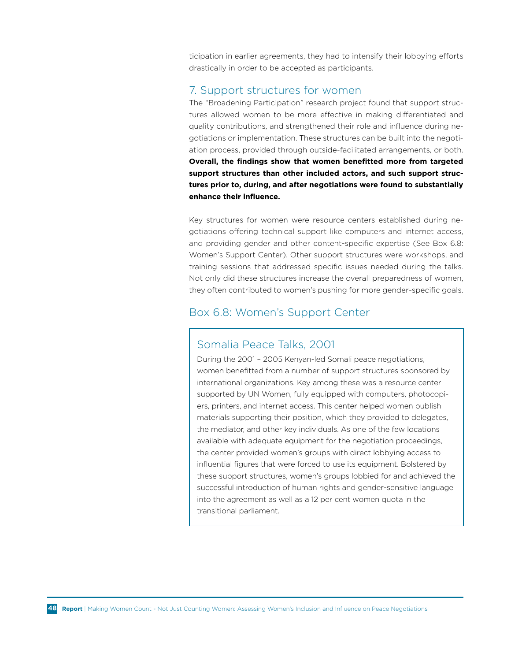ticipation in earlier agreements, they had to intensify their lobbying efforts drastically in order to be accepted as participants.

#### 7. Support structures for women

The "Broadening Participation" research project found that support structures allowed women to be more effective in making differentiated and quality contributions, and strengthened their role and influence during negotiations or implementation. These structures can be built into the negotiation process, provided through outside-facilitated arrangements, or both. **Overall, the findings show that women benefitted more from targeted support structures than other included actors, and such support structures prior to, during, and after negotiations were found to substantially enhance their influence.**

Key structures for women were resource centers established during negotiations offering technical support like computers and internet access, and providing gender and other content-specific expertise (See Box 6.8: Women's Support Center). Other support structures were workshops, and training sessions that addressed specific issues needed during the talks. Not only did these structures increase the overall preparedness of women, they often contributed to women's pushing for more gender-specific goals.

#### Box 6.8: Women's Support Center

#### Somalia Peace Talks, 2001

During the 2001 – 2005 Kenyan-led Somali peace negotiations, women benefitted from a number of support structures sponsored by international organizations. Key among these was a resource center supported by UN Women, fully equipped with computers, photocopiers, printers, and internet access. This center helped women publish materials supporting their position, which they provided to delegates, the mediator, and other key individuals. As one of the few locations available with adequate equipment for the negotiation proceedings, the center provided women's groups with direct lobbying access to influential figures that were forced to use its equipment. Bolstered by these support structures, women's groups lobbied for and achieved the successful introduction of human rights and gender-sensitive language into the agreement as well as a 12 per cent women quota in the transitional parliament.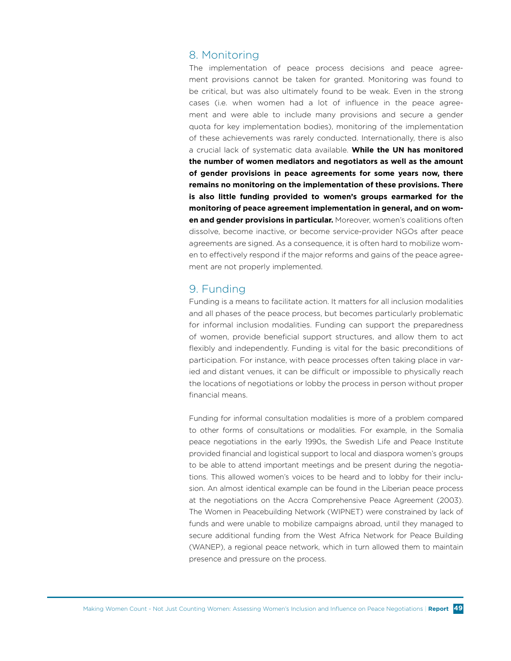#### 8. Monitoring

The implementation of peace process decisions and peace agreement provisions cannot be taken for granted. Monitoring was found to be critical, but was also ultimately found to be weak. Even in the strong cases (i.e. when women had a lot of influence in the peace agreement and were able to include many provisions and secure a gender quota for key implementation bodies), monitoring of the implementation of these achievements was rarely conducted. Internationally, there is also a crucial lack of systematic data available. **While the UN has monitored the number of women mediators and negotiators as well as the amount of gender provisions in peace agreements for some years now, there remains no monitoring on the implementation of these provisions. There is also little funding provided to women's groups earmarked for the monitoring of peace agreement implementation in general, and on women and gender provisions in particular.** Moreover, women's coalitions often dissolve, become inactive, or become service-provider NGOs after peace agreements are signed. As a consequence, it is often hard to mobilize women to effectively respond if the major reforms and gains of the peace agreement are not properly implemented.

#### 9. Funding

Funding is a means to facilitate action. It matters for all inclusion modalities and all phases of the peace process, but becomes particularly problematic for informal inclusion modalities. Funding can support the preparedness of women, provide beneficial support structures, and allow them to act flexibly and independently. Funding is vital for the basic preconditions of participation. For instance, with peace processes often taking place in varied and distant venues, it can be difficult or impossible to physically reach the locations of negotiations or lobby the process in person without proper financial means.

Funding for informal consultation modalities is more of a problem compared to other forms of consultations or modalities. For example, in the Somalia peace negotiations in the early 1990s, the Swedish Life and Peace Institute provided financial and logistical support to local and diaspora women's groups to be able to attend important meetings and be present during the negotiations. This allowed women's voices to be heard and to lobby for their inclusion. An almost identical example can be found in the Liberian peace process at the negotiations on the Accra Comprehensive Peace Agreement (2003). The Women in Peacebuilding Network (WIPNET) were constrained by lack of funds and were unable to mobilize campaigns abroad, until they managed to secure additional funding from the West Africa Network for Peace Building (WANEP), a regional peace network, which in turn allowed them to maintain presence and pressure on the process.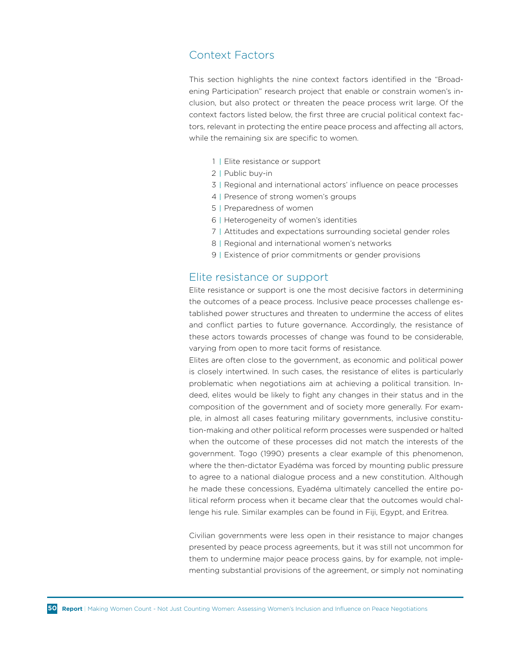### Context Factors

This section highlights the nine context factors identified in the "Broadening Participation" research project that enable or constrain women's inclusion, but also protect or threaten the peace process writ large. Of the context factors listed below, the first three are crucial political context factors, relevant in protecting the entire peace process and affecting all actors, while the remaining six are specific to women.

- 1 **|** Elite resistance or support
- 2 **|** Public buy-in
- 3 **|** Regional and international actors' influence on peace processes
- 4 **|** Presence of strong women's groups
- 5 **|** Preparedness of women
- 6 **|** Heterogeneity of women's identities
- 7 **|** Attitudes and expectations surrounding societal gender roles
- 8 **|** Regional and international women's networks
- 9 **|** Existence of prior commitments or gender provisions

#### Elite resistance or support

Elite resistance or support is one the most decisive factors in determining the outcomes of a peace process. Inclusive peace processes challenge established power structures and threaten to undermine the access of elites and conflict parties to future governance. Accordingly, the resistance of these actors towards processes of change was found to be considerable, varying from open to more tacit forms of resistance.

Elites are often close to the government, as economic and political power is closely intertwined. In such cases, the resistance of elites is particularly problematic when negotiations aim at achieving a political transition. Indeed, elites would be likely to fight any changes in their status and in the composition of the government and of society more generally. For example, in almost all cases featuring military governments, inclusive constitution-making and other political reform processes were suspended or halted when the outcome of these processes did not match the interests of the government. Togo (1990) presents a clear example of this phenomenon, where the then-dictator Eyadéma was forced by mounting public pressure to agree to a national dialogue process and a new constitution. Although he made these concessions, Eyadéma ultimately cancelled the entire political reform process when it became clear that the outcomes would challenge his rule. Similar examples can be found in Fiji, Egypt, and Eritrea.

Civilian governments were less open in their resistance to major changes presented by peace process agreements, but it was still not uncommon for them to undermine major peace process gains, by for example, not implementing substantial provisions of the agreement, or simply not nominating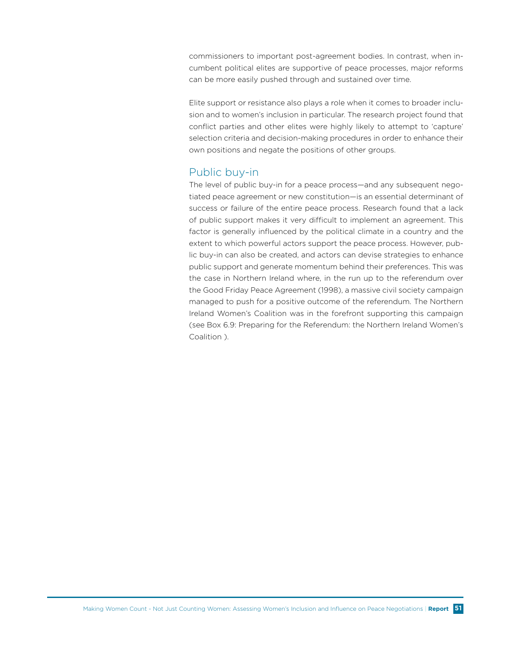commissioners to important post-agreement bodies. In contrast, when incumbent political elites are supportive of peace processes, major reforms can be more easily pushed through and sustained over time.

Elite support or resistance also plays a role when it comes to broader inclusion and to women's inclusion in particular. The research project found that conflict parties and other elites were highly likely to attempt to 'capture' selection criteria and decision-making procedures in order to enhance their own positions and negate the positions of other groups.

#### Public buy-in

The level of public buy-in for a peace process—and any subsequent negotiated peace agreement or new constitution—is an essential determinant of success or failure of the entire peace process. Research found that a lack of public support makes it very difficult to implement an agreement. This factor is generally influenced by the political climate in a country and the extent to which powerful actors support the peace process. However, public buy-in can also be created, and actors can devise strategies to enhance public support and generate momentum behind their preferences. This was the case in Northern Ireland where, in the run up to the referendum over the Good Friday Peace Agreement (1998), a massive civil society campaign managed to push for a positive outcome of the referendum. The Northern Ireland Women's Coalition was in the forefront supporting this campaign (see Box 6.9: Preparing for the Referendum: the Northern Ireland Women's Coalition ).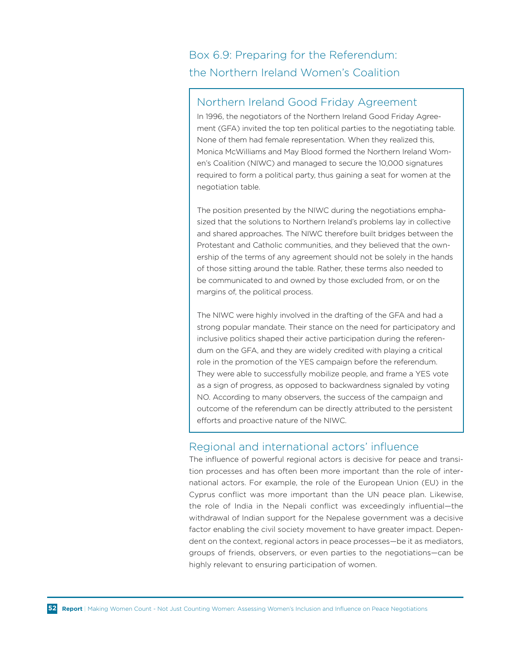Box 6.9: Preparing for the Referendum: the Northern Ireland Women's Coalition

### Northern Ireland Good Friday Agreement

In 1996, the negotiators of the Northern Ireland Good Friday Agreement (GFA) invited the top ten political parties to the negotiating table. None of them had female representation. When they realized this, Monica McWilliams and May Blood formed the Northern Ireland Women's Coalition (NIWC) and managed to secure the 10,000 signatures required to form a political party, thus gaining a seat for women at the negotiation table.

The position presented by the NIWC during the negotiations emphasized that the solutions to Northern Ireland's problems lay in collective and shared approaches. The NIWC therefore built bridges between the Protestant and Catholic communities, and they believed that the ownership of the terms of any agreement should not be solely in the hands of those sitting around the table. Rather, these terms also needed to be communicated to and owned by those excluded from, or on the margins of, the political process.

The NIWC were highly involved in the drafting of the GFA and had a strong popular mandate. Their stance on the need for participatory and inclusive politics shaped their active participation during the referendum on the GFA, and they are widely credited with playing a critical role in the promotion of the YES campaign before the referendum. They were able to successfully mobilize people, and frame a YES vote as a sign of progress, as opposed to backwardness signaled by voting NO. According to many observers, the success of the campaign and outcome of the referendum can be directly attributed to the persistent efforts and proactive nature of the NIWC.

#### Regional and international actors' influence

The influence of powerful regional actors is decisive for peace and transition processes and has often been more important than the role of international actors. For example, the role of the European Union (EU) in the Cyprus conflict was more important than the UN peace plan. Likewise, the role of India in the Nepali conflict was exceedingly influential—the withdrawal of Indian support for the Nepalese government was a decisive factor enabling the civil society movement to have greater impact. Dependent on the context, regional actors in peace processes—be it as mediators, groups of friends, observers, or even parties to the negotiations—can be highly relevant to ensuring participation of women.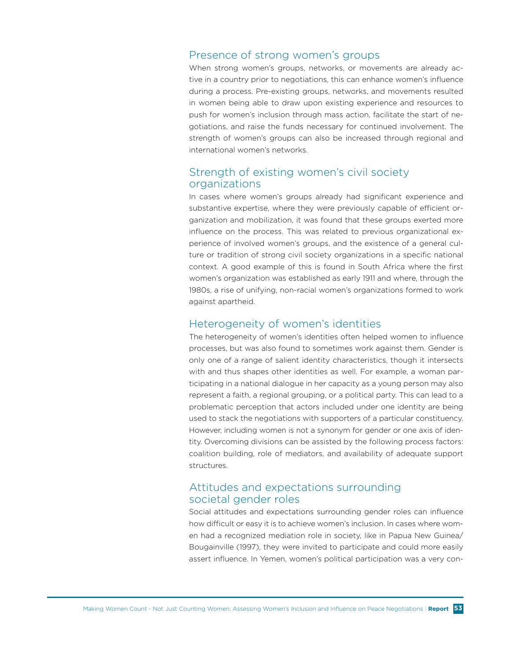#### Presence of strong women's groups

When strong women's groups, networks, or movements are already active in a country prior to negotiations, this can enhance women's influence during a process. Pre-existing groups, networks, and movements resulted in women being able to draw upon existing experience and resources to push for women's inclusion through mass action, facilitate the start of negotiations, and raise the funds necessary for continued involvement. The strength of women's groups can also be increased through regional and international women's networks.

#### Strength of existing women's civil society organizations

In cases where women's groups already had significant experience and substantive expertise, where they were previously capable of efficient organization and mobilization, it was found that these groups exerted more influence on the process. This was related to previous organizational experience of involved women's groups, and the existence of a general culture or tradition of strong civil society organizations in a specific national context. A good example of this is found in South Africa where the first women's organization was established as early 1911 and where, through the 1980s, a rise of unifying, non-racial women's organizations formed to work against apartheid.

#### Heterogeneity of women's identities

The heterogeneity of women's identities often helped women to influence processes, but was also found to sometimes work against them. Gender is only one of a range of salient identity characteristics, though it intersects with and thus shapes other identities as well. For example, a woman participating in a national dialogue in her capacity as a young person may also represent a faith, a regional grouping, or a political party. This can lead to a problematic perception that actors included under one identity are being used to stack the negotiations with supporters of a particular constituency. However, including women is not a synonym for gender or one axis of identity. Overcoming divisions can be assisted by the following process factors: coalition building, role of mediators, and availability of adequate support structures.

#### Attitudes and expectations surrounding societal gender roles

Social attitudes and expectations surrounding gender roles can influence how difficult or easy it is to achieve women's inclusion. In cases where women had a recognized mediation role in society, like in Papua New Guinea/ Bougainville (1997), they were invited to participate and could more easily assert influence. In Yemen, women's political participation was a very con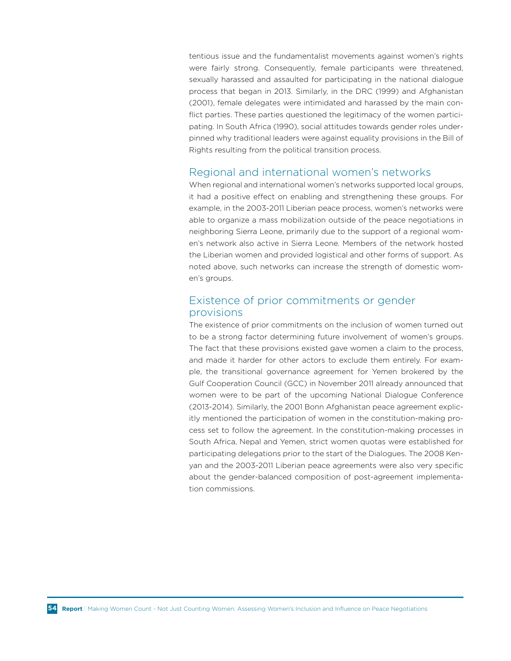tentious issue and the fundamentalist movements against women's rights were fairly strong. Consequently, female participants were threatened, sexually harassed and assaulted for participating in the national dialogue process that began in 2013. Similarly, in the DRC (1999) and Afghanistan (2001), female delegates were intimidated and harassed by the main conflict parties. These parties questioned the legitimacy of the women participating. In South Africa (1990), social attitudes towards gender roles underpinned why traditional leaders were against equality provisions in the Bill of Rights resulting from the political transition process.

#### Regional and international women's networks

When regional and international women's networks supported local groups, it had a positive effect on enabling and strengthening these groups. For example, in the 2003-2011 Liberian peace process, women's networks were able to organize a mass mobilization outside of the peace negotiations in neighboring Sierra Leone, primarily due to the support of a regional women's network also active in Sierra Leone. Members of the network hosted the Liberian women and provided logistical and other forms of support. As noted above, such networks can increase the strength of domestic women's groups.

#### Existence of prior commitments or gender provisions

The existence of prior commitments on the inclusion of women turned out to be a strong factor determining future involvement of women's groups. The fact that these provisions existed gave women a claim to the process, and made it harder for other actors to exclude them entirely. For example, the transitional governance agreement for Yemen brokered by the Gulf Cooperation Council (GCC) in November 2011 already announced that women were to be part of the upcoming National Dialogue Conference (2013-2014). Similarly, the 2001 Bonn Afghanistan peace agreement explicitly mentioned the participation of women in the constitution-making process set to follow the agreement. In the constitution-making processes in South Africa, Nepal and Yemen, strict women quotas were established for participating delegations prior to the start of the Dialogues. The 2008 Kenyan and the 2003-2011 Liberian peace agreements were also very specific about the gender-balanced composition of post-agreement implementation commissions.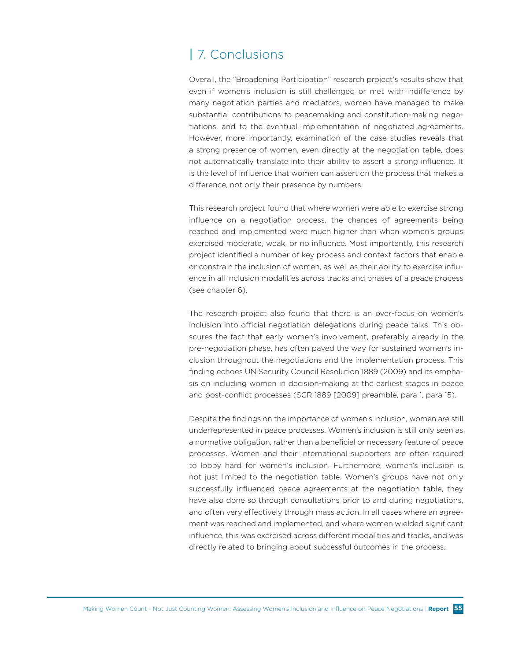# **|** 7. Conclusions

Overall, the "Broadening Participation" research project's results show that even if women's inclusion is still challenged or met with indifference by many negotiation parties and mediators, women have managed to make substantial contributions to peacemaking and constitution-making negotiations, and to the eventual implementation of negotiated agreements. However, more importantly, examination of the case studies reveals that a strong presence of women, even directly at the negotiation table, does not automatically translate into their ability to assert a strong influence. It is the level of influence that women can assert on the process that makes a difference, not only their presence by numbers.

This research project found that where women were able to exercise strong influence on a negotiation process, the chances of agreements being reached and implemented were much higher than when women's groups exercised moderate, weak, or no influence. Most importantly, this research project identified a number of key process and context factors that enable or constrain the inclusion of women, as well as their ability to exercise influence in all inclusion modalities across tracks and phases of a peace process (see chapter 6).

The research project also found that there is an over-focus on women's inclusion into official negotiation delegations during peace talks. This obscures the fact that early women's involvement, preferably already in the pre-negotiation phase, has often paved the way for sustained women's inclusion throughout the negotiations and the implementation process. This finding echoes UN Security Council Resolution 1889 (2009) and its emphasis on including women in decision-making at the earliest stages in peace and post-conflict processes (SCR 1889 [2009] preamble, para 1, para 15).

Despite the findings on the importance of women's inclusion, women are still underrepresented in peace processes. Women's inclusion is still only seen as a normative obligation, rather than a beneficial or necessary feature of peace processes. Women and their international supporters are often required to lobby hard for women's inclusion. Furthermore, women's inclusion is not just limited to the negotiation table. Women's groups have not only successfully influenced peace agreements at the negotiation table, they have also done so through consultations prior to and during negotiations, and often very effectively through mass action. In all cases where an agreement was reached and implemented, and where women wielded significant influence, this was exercised across different modalities and tracks, and was directly related to bringing about successful outcomes in the process.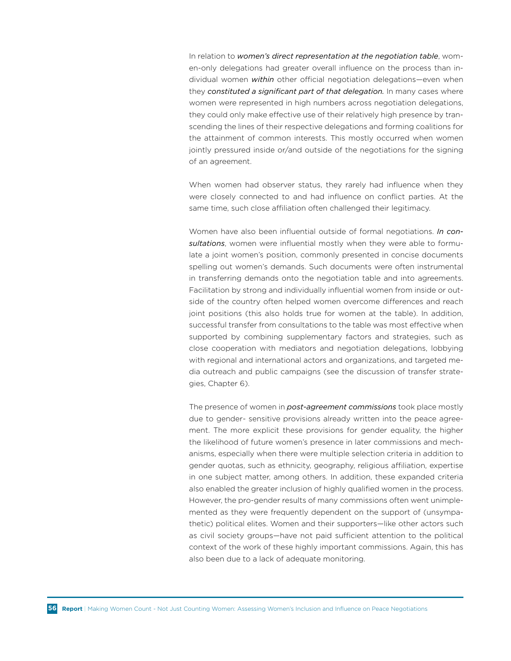In relation to *women's direct representation at the negotiation table*, women-only delegations had greater overall influence on the process than individual women *within* other official negotiation delegations—even when they *constituted a significant part of that delegation.* In many cases where women were represented in high numbers across negotiation delegations, they could only make effective use of their relatively high presence by transcending the lines of their respective delegations and forming coalitions for the attainment of common interests. This mostly occurred when women jointly pressured inside or/and outside of the negotiations for the signing of an agreement.

When women had observer status, they rarely had influence when they were closely connected to and had influence on conflict parties. At the same time, such close affiliation often challenged their legitimacy.

Women have also been influential outside of formal negotiations. *In consultations*, women were influential mostly when they were able to formulate a joint women's position, commonly presented in concise documents spelling out women's demands. Such documents were often instrumental in transferring demands onto the negotiation table and into agreements. Facilitation by strong and individually influential women from inside or outside of the country often helped women overcome differences and reach joint positions (this also holds true for women at the table). In addition, successful transfer from consultations to the table was most effective when supported by combining supplementary factors and strategies, such as close cooperation with mediators and negotiation delegations, lobbying with regional and international actors and organizations, and targeted media outreach and public campaigns (see the discussion of transfer strategies, Chapter 6).

The presence of women in *post-agreement commissions* took place mostly due to gender- sensitive provisions already written into the peace agreement. The more explicit these provisions for gender equality, the higher the likelihood of future women's presence in later commissions and mechanisms, especially when there were multiple selection criteria in addition to gender quotas, such as ethnicity, geography, religious affiliation, expertise in one subject matter, among others. In addition, these expanded criteria also enabled the greater inclusion of highly qualified women in the process. However, the pro-gender results of many commissions often went unimplemented as they were frequently dependent on the support of (unsympathetic) political elites. Women and their supporters—like other actors such as civil society groups—have not paid sufficient attention to the political context of the work of these highly important commissions. Again, this has also been due to a lack of adequate monitoring.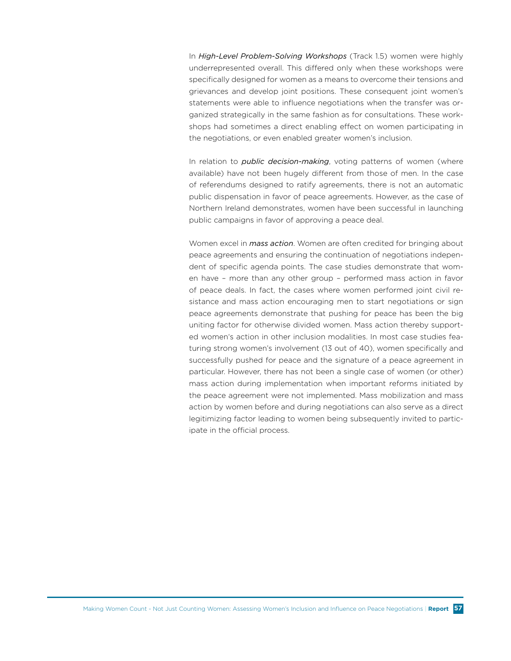In *High-Level Problem-Solving Workshops* (Track 1.5) women were highly underrepresented overall. This differed only when these workshops were specifically designed for women as a means to overcome their tensions and grievances and develop joint positions. These consequent joint women's statements were able to influence negotiations when the transfer was organized strategically in the same fashion as for consultations. These workshops had sometimes a direct enabling effect on women participating in the negotiations, or even enabled greater women's inclusion.

In relation to *public decision-making*, voting patterns of women (where available) have not been hugely different from those of men. In the case of referendums designed to ratify agreements, there is not an automatic public dispensation in favor of peace agreements. However, as the case of Northern Ireland demonstrates, women have been successful in launching public campaigns in favor of approving a peace deal.

Women excel in *mass action*. Women are often credited for bringing about peace agreements and ensuring the continuation of negotiations independent of specific agenda points. The case studies demonstrate that women have – more than any other group – performed mass action in favor of peace deals. In fact, the cases where women performed joint civil resistance and mass action encouraging men to start negotiations or sign peace agreements demonstrate that pushing for peace has been the big uniting factor for otherwise divided women. Mass action thereby supported women's action in other inclusion modalities. In most case studies featuring strong women's involvement (13 out of 40), women specifically and successfully pushed for peace and the signature of a peace agreement in particular. However, there has not been a single case of women (or other) mass action during implementation when important reforms initiated by the peace agreement were not implemented. Mass mobilization and mass action by women before and during negotiations can also serve as a direct legitimizing factor leading to women being subsequently invited to participate in the official process.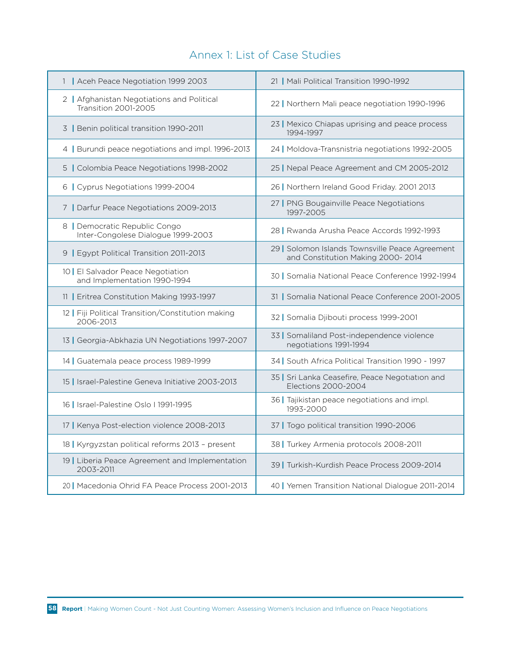### Annex 1: List of Case Studies

| 1   Aceh Peace Negotiation 1999 2003                                | 21   Mali Political Transition 1990-1992                                             |  |
|---------------------------------------------------------------------|--------------------------------------------------------------------------------------|--|
| 2   Afghanistan Negotiations and Political<br>Transition 2001-2005  | 22   Northern Mali peace negotiation 1990-1996                                       |  |
| 3   Benin political transition 1990-2011                            | 23   Mexico Chiapas uprising and peace process<br>1994-1997                          |  |
| 4   Burundi peace negotiations and impl. 1996-2013                  | 24   Moldova-Transnistria negotiations 1992-2005                                     |  |
| 5   Colombia Peace Negotiations 1998-2002                           | 25   Nepal Peace Agreement and CM 2005-2012                                          |  |
| 6   Cyprus Negotiations 1999-2004                                   | 26   Northern Ireland Good Friday. 2001 2013                                         |  |
| 7   Darfur Peace Negotiations 2009-2013                             | 27   PNG Bougainville Peace Negotiations<br>1997-2005                                |  |
| 8   Democratic Republic Congo<br>Inter-Congolese Dialogue 1999-2003 | 28   Rwanda Arusha Peace Accords 1992-1993                                           |  |
| 9   Egypt Political Transition 2011-2013                            | 29   Solomon Islands Townsville Peace Agreement<br>and Constitution Making 2000-2014 |  |
| 10   El Salvador Peace Negotiation<br>and Implementation 1990-1994  | 30   Somalia National Peace Conference 1992-1994                                     |  |
| 11   Eritrea Constitution Making 1993-1997                          | 31   Somalia National Peace Conference 2001-2005                                     |  |
| 12   Fiji Political Transition/Constitution making<br>2006-2013     | 32   Somalia Djibouti process 1999-2001                                              |  |
| 13   Georgia-Abkhazia UN Negotiations 1997-2007                     | 33   Somaliland Post-independence violence<br>negotiations 1991-1994                 |  |
| 14   Guatemala peace process 1989-1999                              | 34   South Africa Political Transition 1990 - 1997                                   |  |
| 15   Israel-Palestine Geneva Initiative 2003-2013                   | 35   Sri Lanka Ceasefire, Peace Negotiation and<br>Elections 2000-2004               |  |
| 16   Israel-Palestine Oslo   1991-1995                              | 36   Tajikistan peace negotiations and impl.<br>1993-2000                            |  |
| 17   Kenya Post-election violence 2008-2013                         | 37   Togo political transition 1990-2006                                             |  |
| 18   Kyrgyzstan political reforms 2013 - present                    | 38   Turkey Armenia protocols 2008-2011                                              |  |
| 19   Liberia Peace Agreement and Implementation<br>2003-2011        | 39   Turkish-Kurdish Peace Process 2009-2014                                         |  |
| 20   Macedonia Ohrid FA Peace Process 2001-2013                     | 40   Yemen Transition National Dialogue 2011-2014                                    |  |

**Report** | Making Women Count - Not Just Counting Women: Assessing Women's Inclusion and Influence on Peace Negotiations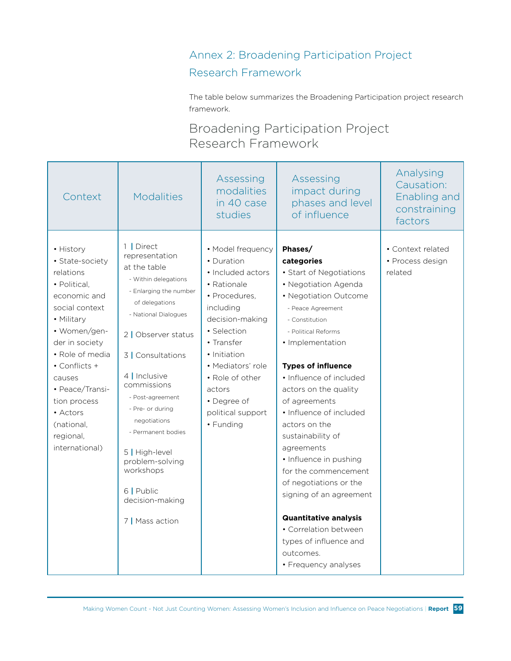# Annex 2: Broadening Participation Project Research Framework

The table below summarizes the Broadening Participation project research framework.

# Broadening Participation Project Research Framework

| Context                                                                                                                                                                                                                                                                                     | <b>Modalities</b>                                                                                                                                                                                                                                                                                                                                                                                      | Assessing<br>modalities<br>in 40 case<br>studies                                                                                                                                                                                                                     | Assessing<br>impact during<br>phases and level<br>of influence                                                                                                                                                                                                                                                                                                                                                                                                                                                                                                                                      | Analysing<br>Causation:<br>Enabling and<br>constraining<br>factors |
|---------------------------------------------------------------------------------------------------------------------------------------------------------------------------------------------------------------------------------------------------------------------------------------------|--------------------------------------------------------------------------------------------------------------------------------------------------------------------------------------------------------------------------------------------------------------------------------------------------------------------------------------------------------------------------------------------------------|----------------------------------------------------------------------------------------------------------------------------------------------------------------------------------------------------------------------------------------------------------------------|-----------------------------------------------------------------------------------------------------------------------------------------------------------------------------------------------------------------------------------------------------------------------------------------------------------------------------------------------------------------------------------------------------------------------------------------------------------------------------------------------------------------------------------------------------------------------------------------------------|--------------------------------------------------------------------|
| • History<br>· State-society<br>relations<br>• Political.<br>economic and<br>social context<br>• Military<br>· Women/gen-<br>der in society<br>• Role of media<br>$\cdot$ Conflicts +<br>causes<br>• Peace/Transi-<br>tion process<br>• Actors<br>(national,<br>regional,<br>international) | 1 Direct<br>representation<br>at the table<br>- Within delegations<br>- Enlarging the number<br>of delegations<br>- National Dialogues<br>2   Observer status<br>3   Consultations<br>4   Inclusive<br>commissions<br>- Post-agreement<br>- Pre- or during<br>negotiations<br>- Permanent bodies<br>5   High-level<br>problem-solving<br>workshops<br>6   Public<br>decision-making<br>7   Mass action | • Model frequency<br>• Duration<br>• Included actors<br>• Rationale<br>• Procedures.<br>including<br>decision-making<br>· Selection<br>• Transfer<br>• Initiation<br>• Mediators' role<br>• Role of other<br>actors<br>• Degree of<br>political support<br>• Funding | Phases/<br>categories<br>• Start of Negotiations<br>• Negotiation Agenda<br>• Negotiation Outcome<br>- Peace Agreement<br>- Constitution<br>- Political Reforms<br>· Implementation<br><b>Types of influence</b><br>· Influence of included<br>actors on the quality<br>of agreements<br>· Influence of included<br>actors on the<br>sustainability of<br>agreements<br>• Influence in pushing<br>for the commencement<br>of negotiations or the<br>signing of an agreement<br><b>Quantitative analysis</b><br>· Correlation between<br>types of influence and<br>outcomes.<br>• Frequency analyses | • Context related<br>• Process design<br>related                   |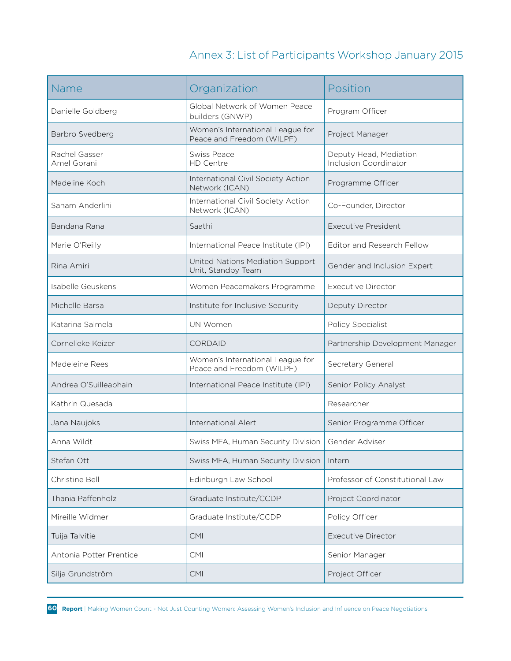# Annex 3: List of Participants Workshop January 2015

| Name                         | Organization                                                  | Position                                        |  |
|------------------------------|---------------------------------------------------------------|-------------------------------------------------|--|
| Danielle Goldberg            | Global Network of Women Peace<br>builders (GNWP)              | Program Officer                                 |  |
| Barbro Svedberg              | Women's International League for<br>Peace and Freedom (WILPF) | Project Manager                                 |  |
| Rachel Gasser<br>Amel Gorani | <b>Swiss Peace</b><br>HD Centre                               | Deputy Head, Mediation<br>Inclusion Coordinator |  |
| Madeline Koch                | International Civil Society Action<br>Network (ICAN)          | Programme Officer                               |  |
| Sanam Anderlini              | International Civil Society Action<br>Network (ICAN)          | Co-Founder, Director                            |  |
| Bandana Rana                 | Saathi                                                        | <b>Executive President</b>                      |  |
| Marie O'Reilly               | International Peace Institute (IPI)                           | <b>Editor and Research Fellow</b>               |  |
| Rina Amiri                   | United Nations Mediation Support<br>Unit, Standby Team        | Gender and Inclusion Expert                     |  |
| Isabelle Geuskens            | Women Peacemakers Programme                                   | <b>Executive Director</b>                       |  |
| Michelle Barsa               | Institute for Inclusive Security                              | Deputy Director                                 |  |
| Katarina Salmela             | UN Women                                                      | Policy Specialist                               |  |
| Cornelieke Keizer            | <b>CORDAID</b>                                                | Partnership Development Manager                 |  |
| Madeleine Rees               | Women's International League for<br>Peace and Freedom (WILPF) | Secretary General                               |  |
| Andrea O'Suilleabhain        | International Peace Institute (IPI)                           | Senior Policy Analyst                           |  |
| Kathrin Quesada              |                                                               | Researcher                                      |  |
| Jana Naujoks                 | International Alert                                           | Senior Programme Officer                        |  |
| Anna Wildt                   | Swiss MFA, Human Security Division                            | Gender Adviser                                  |  |
| Stefan Ott                   | Swiss MFA, Human Security Division                            | Intern                                          |  |
| Christine Bell               | Edinburgh Law School                                          | Professor of Constitutional Law                 |  |
| Thania Paffenholz            | Graduate Institute/CCDP                                       | Project Coordinator                             |  |
| Mireille Widmer              | Graduate Institute/CCDP                                       | Policy Officer                                  |  |
| Tuija Talvitie               | <b>CMI</b>                                                    | <b>Executive Director</b>                       |  |
| Antonia Potter Prentice      | <b>CMI</b>                                                    | Senior Manager                                  |  |
| Silja Grundström             | <b>CMI</b>                                                    | Project Officer                                 |  |

**60 Report** | Making Women Count - Not Just Counting Women: Assessing Women's Inclusion and Influence on Peace Negotiations